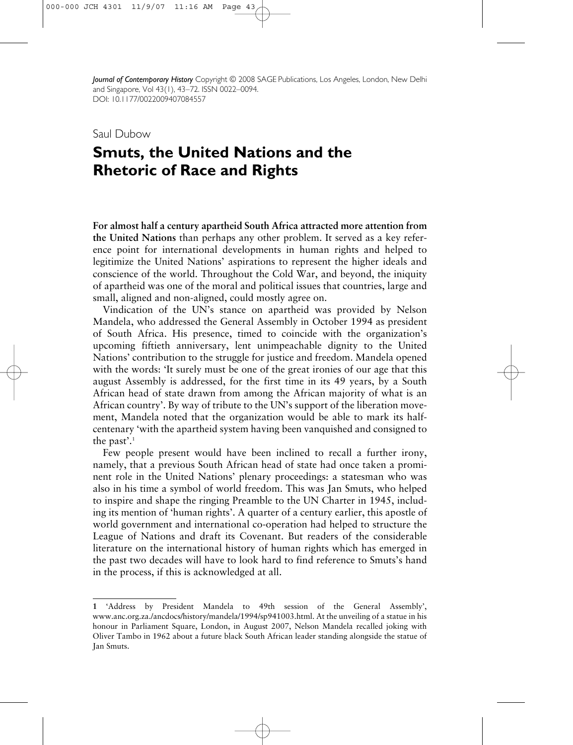*Journal of Contemporary History* Copyright © 2008 SAGE Publications, Los Angeles, London, New Delhi and Singapore, Vol 43(1), 43–72. ISSN 0022–0094. DOI: 10.1177/0022009407084557

Saul Dubow

# **Smuts, the United Nations and the Rhetoric of Race and Rights**

**For almost half a century apartheid South Africa attracted more attention from the United Nations** than perhaps any other problem. It served as a key reference point for international developments in human rights and helped to legitimize the United Nations' aspirations to represent the higher ideals and conscience of the world. Throughout the Cold War, and beyond, the iniquity of apartheid was one of the moral and political issues that countries, large and small, aligned and non-aligned, could mostly agree on.

Vindication of the UN's stance on apartheid was provided by Nelson Mandela, who addressed the General Assembly in October 1994 as president of South Africa. His presence, timed to coincide with the organization's upcoming fiftieth anniversary, lent unimpeachable dignity to the United Nations' contribution to the struggle for justice and freedom. Mandela opened with the words: 'It surely must be one of the great ironies of our age that this august Assembly is addressed, for the first time in its 49 years, by a South African head of state drawn from among the African majority of what is an African country'. By way of tribute to the UN's support of the liberation movement, Mandela noted that the organization would be able to mark its halfcentenary 'with the apartheid system having been vanquished and consigned to the past'.1

Few people present would have been inclined to recall a further irony, namely, that a previous South African head of state had once taken a prominent role in the United Nations' plenary proceedings: a statesman who was also in his time a symbol of world freedom. This was Jan Smuts, who helped to inspire and shape the ringing Preamble to the UN Charter in 1945, including its mention of 'human rights'. A quarter of a century earlier, this apostle of world government and international co-operation had helped to structure the League of Nations and draft its Covenant. But readers of the considerable literature on the international history of human rights which has emerged in the past two decades will have to look hard to find reference to Smuts's hand in the process, if this is acknowledged at all.

**<sup>1</sup>** 'Address by President Mandela to 49th session of the General Assembly', www.anc.org.za./ancdocs/history/mandela/1994/sp941003.html. At the unveiling of a statue in his honour in Parliament Square, London, in August 2007, Nelson Mandela recalled joking with Oliver Tambo in 1962 about a future black South African leader standing alongside the statue of Jan Smuts.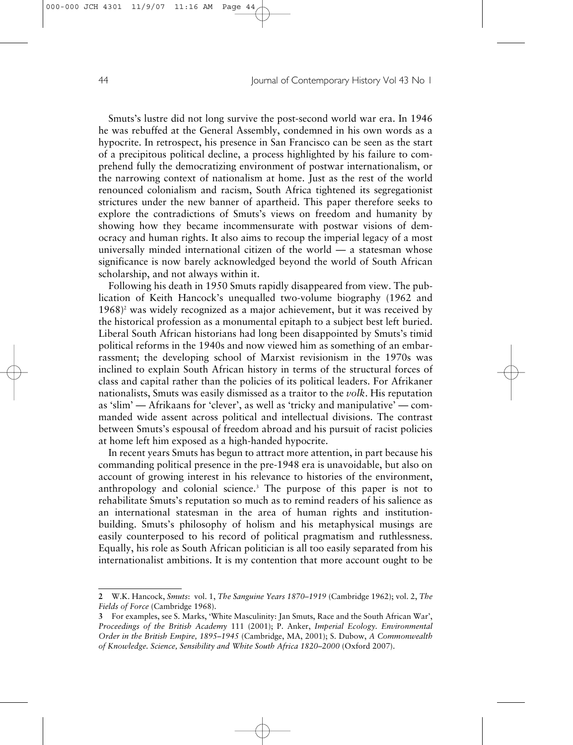Smuts's lustre did not long survive the post-second world war era. In 1946 he was rebuffed at the General Assembly, condemned in his own words as a hypocrite. In retrospect, his presence in San Francisco can be seen as the start of a precipitous political decline, a process highlighted by his failure to comprehend fully the democratizing environment of postwar internationalism, or the narrowing context of nationalism at home. Just as the rest of the world renounced colonialism and racism, South Africa tightened its segregationist strictures under the new banner of apartheid. This paper therefore seeks to explore the contradictions of Smuts's views on freedom and humanity by showing how they became incommensurate with postwar visions of democracy and human rights. It also aims to recoup the imperial legacy of a most universally minded international citizen of the world — a statesman whose significance is now barely acknowledged beyond the world of South African scholarship, and not always within it.

Following his death in 1950 Smuts rapidly disappeared from view. The publication of Keith Hancock's unequalled two-volume biography (1962 and  $1968$ <sup>2</sup> was widely recognized as a major achievement, but it was received by the historical profession as a monumental epitaph to a subject best left buried. Liberal South African historians had long been disappointed by Smuts's timid political reforms in the 1940s and now viewed him as something of an embarrassment; the developing school of Marxist revisionism in the 1970s was inclined to explain South African history in terms of the structural forces of class and capital rather than the policies of its political leaders. For Afrikaner nationalists, Smuts was easily dismissed as a traitor to the *volk*. His reputation as 'slim' — Afrikaans for 'clever', as well as 'tricky and manipulative' — commanded wide assent across political and intellectual divisions. The contrast between Smuts's espousal of freedom abroad and his pursuit of racist policies at home left him exposed as a high-handed hypocrite.

In recent years Smuts has begun to attract more attention, in part because his commanding political presence in the pre-1948 era is unavoidable, but also on account of growing interest in his relevance to histories of the environment, anthropology and colonial science.3 The purpose of this paper is not to rehabilitate Smuts's reputation so much as to remind readers of his salience as an international statesman in the area of human rights and institutionbuilding. Smuts's philosophy of holism and his metaphysical musings are easily counterposed to his record of political pragmatism and ruthlessness. Equally, his role as South African politician is all too easily separated from his internationalist ambitions. It is my contention that more account ought to be

**<sup>2</sup>** W.K. Hancock, *Smuts*: vol. 1, *The Sanguine Years 1870–1919* (Cambridge 1962); vol. 2, *The Fields of Force* (Cambridge 1968).

**<sup>3</sup>** For examples, see S. Marks, 'White Masculinity: Jan Smuts, Race and the South African War', *Proceedings of the British Academy* 111 (2001); P. Anker, *Imperial Ecology. Environmental Order in the British Empire, 1895–1945* (Cambridge, MA, 2001); S. Dubow, *A Commonwealth of Knowledge. Science, Sensibility and White South Africa 1820–2000* (Oxford 2007).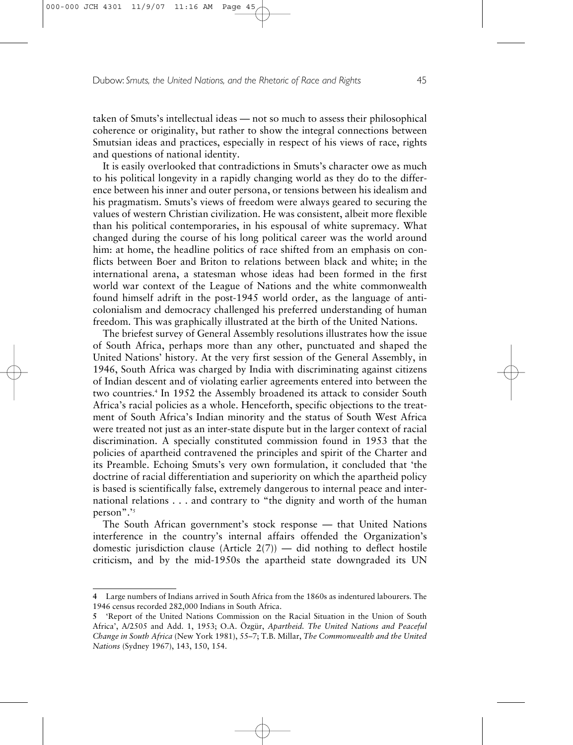taken of Smuts's intellectual ideas — not so much to assess their philosophical coherence or originality, but rather to show the integral connections between Smutsian ideas and practices, especially in respect of his views of race, rights and questions of national identity.

It is easily overlooked that contradictions in Smuts's character owe as much to his political longevity in a rapidly changing world as they do to the difference between his inner and outer persona, or tensions between his idealism and his pragmatism. Smuts's views of freedom were always geared to securing the values of western Christian civilization. He was consistent, albeit more flexible than his political contemporaries, in his espousal of white supremacy. What changed during the course of his long political career was the world around him: at home, the headline politics of race shifted from an emphasis on conflicts between Boer and Briton to relations between black and white; in the international arena, a statesman whose ideas had been formed in the first world war context of the League of Nations and the white commonwealth found himself adrift in the post-1945 world order, as the language of anticolonialism and democracy challenged his preferred understanding of human freedom. This was graphically illustrated at the birth of the United Nations.

The briefest survey of General Assembly resolutions illustrates how the issue of South Africa, perhaps more than any other, punctuated and shaped the United Nations' history. At the very first session of the General Assembly, in 1946, South Africa was charged by India with discriminating against citizens of Indian descent and of violating earlier agreements entered into between the two countries.4 In 1952 the Assembly broadened its attack to consider South Africa's racial policies as a whole. Henceforth, specific objections to the treatment of South Africa's Indian minority and the status of South West Africa were treated not just as an inter-state dispute but in the larger context of racial discrimination. A specially constituted commission found in 1953 that the policies of apartheid contravened the principles and spirit of the Charter and its Preamble. Echoing Smuts's very own formulation, it concluded that 'the doctrine of racial differentiation and superiority on which the apartheid policy is based is scientifically false, extremely dangerous to internal peace and international relations . . . and contrary to "the dignity and worth of the human person".'5

The South African government's stock response — that United Nations interference in the country's internal affairs offended the Organization's domestic jurisdiction clause (Article  $2(7)$ ) — did nothing to deflect hostile criticism, and by the mid-1950s the apartheid state downgraded its UN

**<sup>4</sup>** Large numbers of Indians arrived in South Africa from the 1860s as indentured labourers. The 1946 census recorded 282,000 Indians in South Africa.

**<sup>5</sup>** 'Report of the United Nations Commission on the Racial Situation in the Union of South Africa', A/2505 and Add. 1, 1953; O.A. Özgür, *Apartheid. The United Nations and Peaceful Change in South Africa* (New York 1981), 55–7; T.B. Millar, *The Commonwealth and the United Nations* (Sydney 1967), 143, 150, 154.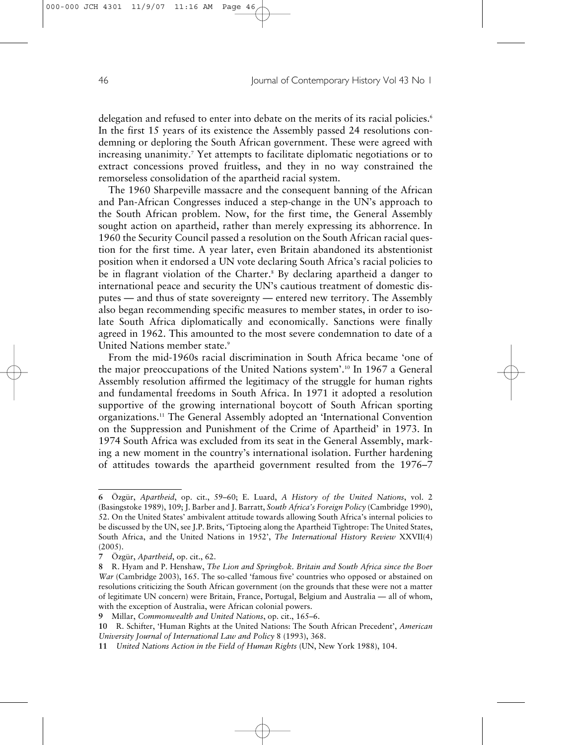delegation and refused to enter into debate on the merits of its racial policies.<sup>6</sup> In the first 15 years of its existence the Assembly passed 24 resolutions condemning or deploring the South African government. These were agreed with increasing unanimity.<sup>7</sup> Yet attempts to facilitate diplomatic negotiations or to extract concessions proved fruitless, and they in no way constrained the remorseless consolidation of the apartheid racial system.

The 1960 Sharpeville massacre and the consequent banning of the African and Pan-African Congresses induced a step-change in the UN's approach to the South African problem. Now, for the first time, the General Assembly sought action on apartheid, rather than merely expressing its abhorrence. In 1960 the Security Council passed a resolution on the South African racial question for the first time. A year later, even Britain abandoned its abstentionist position when it endorsed a UN vote declaring South Africa's racial policies to be in flagrant violation of the Charter.<sup>8</sup> By declaring apartheid a danger to international peace and security the UN's cautious treatment of domestic disputes — and thus of state sovereignty — entered new territory. The Assembly also began recommending specific measures to member states, in order to isolate South Africa diplomatically and economically. Sanctions were finally agreed in 1962. This amounted to the most severe condemnation to date of a United Nations member state.<sup>9</sup>

From the mid-1960s racial discrimination in South Africa became 'one of the major preoccupations of the United Nations system'.10 In 1967 a General Assembly resolution affirmed the legitimacy of the struggle for human rights and fundamental freedoms in South Africa. In 1971 it adopted a resolution supportive of the growing international boycott of South African sporting organizations.11 The General Assembly adopted an 'International Convention on the Suppression and Punishment of the Crime of Apartheid' in 1973. In 1974 South Africa was excluded from its seat in the General Assembly, marking a new moment in the country's international isolation. Further hardening of attitudes towards the apartheid government resulted from the 1976–7

**<sup>6</sup>** Özgür, *Apartheid*, op. cit., 59–60; E. Luard, *A History of the United Nations*, vol. 2 (Basingstoke 1989), 109; J. Barber and J. Barratt, *South Africa's Foreign Policy* (Cambridge 1990), 52. On the United States' ambivalent attitude towards allowing South Africa's internal policies to be discussed by the UN, see J.P. Brits, 'Tiptoeing along the Apartheid Tightrope: The United States, South Africa, and the United Nations in 1952', *The International History Review* XXVII(4) (2005).

**<sup>7</sup>** Özgür, *Apartheid*, op. cit., 62.

**<sup>8</sup>** R. Hyam and P. Henshaw, *The Lion and Springbok. Britain and South Africa since the Boer War* (Cambridge 2003), 165. The so-called 'famous five' countries who opposed or abstained on resolutions criticizing the South African government (on the grounds that these were not a matter of legitimate UN concern) were Britain, France, Portugal, Belgium and Australia — all of whom, with the exception of Australia, were African colonial powers.

**<sup>9</sup>** Millar, *Commonwealth and United Nations*, op. cit., 165–6.

**<sup>10</sup>** R. Schifter, 'Human Rights at the United Nations: The South African Precedent', *American University Journal of International Law and Policy* 8 (1993), 368.

**<sup>11</sup>** *United Nations Action in the Field of Human Rights* (UN, New York 1988), 104.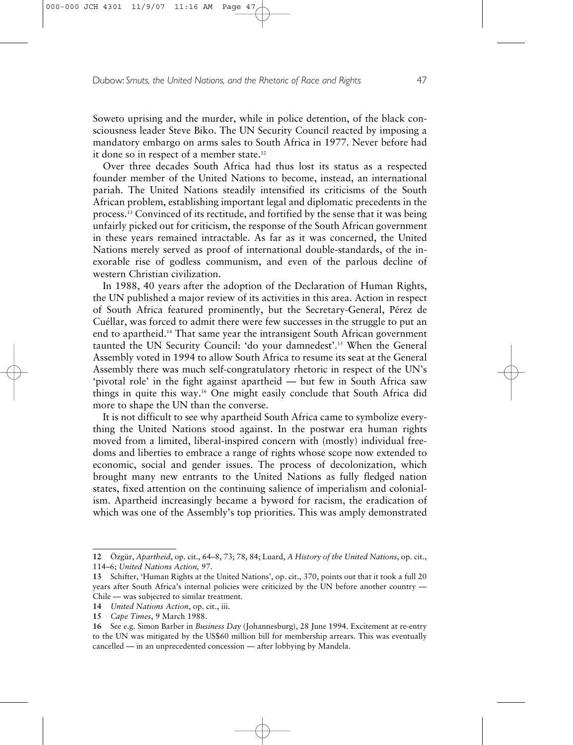Soweto uprising and the murder, while in police detention, of the black consciousness leader Steve Biko. The UN Security Council reacted by imposing a mandatory embargo on arms sales to South Africa in 1977. Never before had it done so in respect of a member state.12

Over three decades South Africa had thus lost its status as a respected founder member of the United Nations to become, instead, an international pariah. The United Nations steadily intensified its criticisms of the South African problem, establishing important legal and diplomatic precedents in the process.13 Convinced of its rectitude, and fortified by the sense that it was being unfairly picked out for criticism, the response of the South African government in these years remained intractable. As far as it was concerned, the United Nations merely served as proof of international double-standards, of the inexorable rise of godless communism, and even of the parlous decline of western Christian civilization.

In 1988, 40 years after the adoption of the Declaration of Human Rights, the UN published a major review of its activities in this area. Action in respect of South Africa featured prominently, but the Secretary-General, Pérez de Cuéllar, was forced to admit there were few successes in the struggle to put an end to apartheid.14 That same year the intransigent South African government taunted the UN Security Council: 'do your damnedest'.15 When the General Assembly voted in 1994 to allow South Africa to resume its seat at the General Assembly there was much self-congratulatory rhetoric in respect of the UN's 'pivotal role' in the fight against apartheid — but few in South Africa saw things in quite this way.16 One might easily conclude that South Africa did more to shape the UN than the converse.

It is not difficult to see why apartheid South Africa came to symbolize everything the United Nations stood against. In the postwar era human rights moved from a limited, liberal-inspired concern with (mostly) individual freedoms and liberties to embrace a range of rights whose scope now extended to economic, social and gender issues. The process of decolonization, which brought many new entrants to the United Nations as fully fledged nation states, fixed attention on the continuing salience of imperialism and colonialism. Apartheid increasingly became a byword for racism, the eradication of which was one of the Assembly's top priorities. This was amply demonstrated

**<sup>12</sup>** Özgür, *Apartheid*, op. cit., 64–8, 73; 78, 84; Luard, *A History of the United Nations*, op. cit., 114–6; *United Nations Action,* 97.

**<sup>13</sup>** Schifter, 'Human Rights at the United Nations', op. cit., 370, points out that it took a full 20 years after South Africa's internal policies were criticized by the UN before another country — Chile — was subjected to similar treatment.

**<sup>14</sup>** *United Nations Action*, op. cit., iii.

**<sup>15</sup>** *Cape Times*, 9 March 1988.

**<sup>16</sup>** See e.g. Simon Barber in *Business Day* (Johannesburg), 28 June 1994. Excitement at re-entry to the UN was mitigated by the US\$60 million bill for membership arrears. This was eventually cancelled — in an unprecedented concession — after lobbying by Mandela.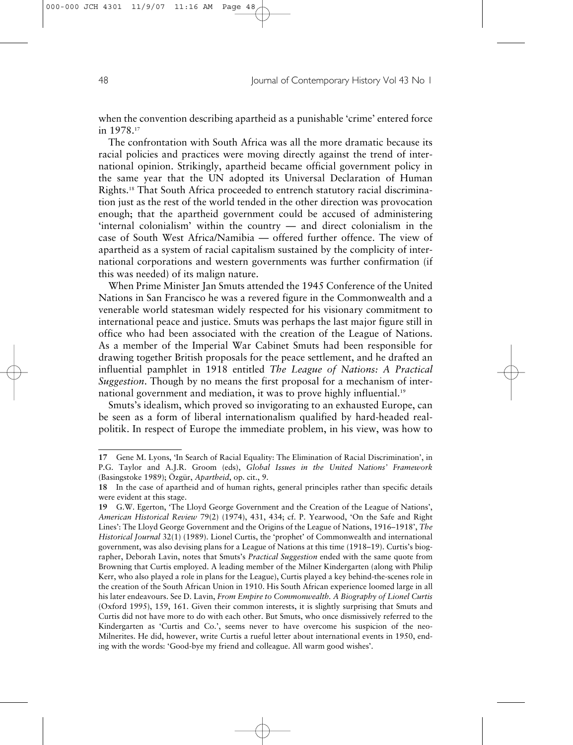when the convention describing apartheid as a punishable 'crime' entered force in 1978.17

The confrontation with South Africa was all the more dramatic because its racial policies and practices were moving directly against the trend of international opinion. Strikingly, apartheid became official government policy in the same year that the UN adopted its Universal Declaration of Human Rights.18 That South Africa proceeded to entrench statutory racial discrimination just as the rest of the world tended in the other direction was provocation enough; that the apartheid government could be accused of administering 'internal colonialism' within the country — and direct colonialism in the case of South West Africa/Namibia — offered further offence. The view of apartheid as a system of racial capitalism sustained by the complicity of international corporations and western governments was further confirmation (if this was needed) of its malign nature.

When Prime Minister Jan Smuts attended the 1945 Conference of the United Nations in San Francisco he was a revered figure in the Commonwealth and a venerable world statesman widely respected for his visionary commitment to international peace and justice. Smuts was perhaps the last major figure still in office who had been associated with the creation of the League of Nations. As a member of the Imperial War Cabinet Smuts had been responsible for drawing together British proposals for the peace settlement, and he drafted an influential pamphlet in 1918 entitled *The League of Nations: A Practical Suggestion*. Though by no means the first proposal for a mechanism of international government and mediation, it was to prove highly influential.<sup>19</sup>

Smuts's idealism, which proved so invigorating to an exhausted Europe, can be seen as a form of liberal internationalism qualified by hard-headed realpolitik. In respect of Europe the immediate problem, in his view, was how to

**<sup>17</sup>** Gene M. Lyons, 'In Search of Racial Equality: The Elimination of Racial Discrimination', in P.G. Taylor and A.J.R. Groom (eds), *Global Issues in the United Nations' Framework* (Basingstoke 1989); Özgür, *Apartheid*, op. cit., 9.

**<sup>18</sup>** In the case of apartheid and of human rights, general principles rather than specific details were evident at this stage.

**<sup>19</sup>** G.W. Egerton, 'The Lloyd George Government and the Creation of the League of Nations', *American Historical Review* 79(2) (1974), 431, 434; cf. P. Yearwood, 'On the Safe and Right Lines': The Lloyd George Government and the Origins of the League of Nations, 1916–1918', *The Historical Journal* 32(1) (1989). Lionel Curtis, the 'prophet' of Commonwealth and international government, was also devising plans for a League of Nations at this time (1918–19). Curtis's biographer, Deborah Lavin, notes that Smuts's *Practical Suggestion* ended with the same quote from Browning that Curtis employed. A leading member of the Milner Kindergarten (along with Philip Kerr, who also played a role in plans for the League), Curtis played a key behind-the-scenes role in the creation of the South African Union in 1910. His South African experience loomed large in all his later endeavours. See D. Lavin, *From Empire to Commonwealth. A Biography of Lionel Curtis* (Oxford 1995), 159, 161. Given their common interests, it is slightly surprising that Smuts and Curtis did not have more to do with each other. But Smuts, who once dismissively referred to the Kindergarten as 'Curtis and Co.', seems never to have overcome his suspicion of the neo-Milnerites. He did, however, write Curtis a rueful letter about international events in 1950, ending with the words: 'Good-bye my friend and colleague. All warm good wishes'.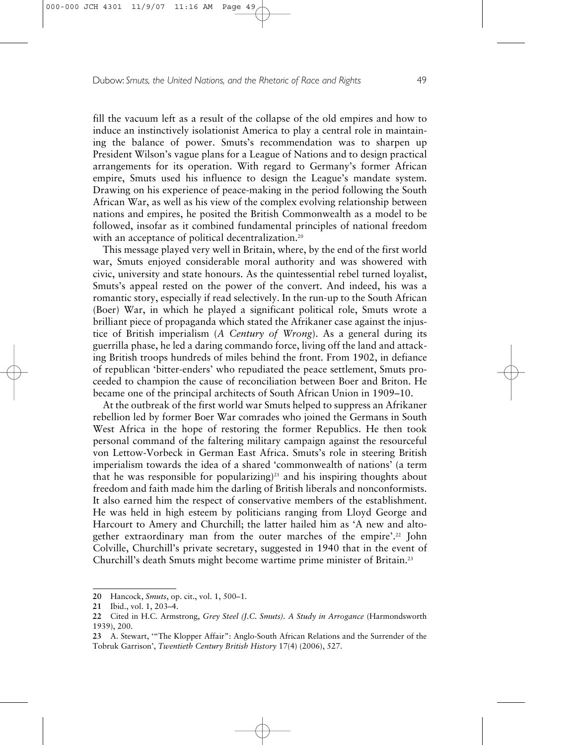fill the vacuum left as a result of the collapse of the old empires and how to induce an instinctively isolationist America to play a central role in maintaining the balance of power. Smuts's recommendation was to sharpen up President Wilson's vague plans for a League of Nations and to design practical arrangements for its operation. With regard to Germany's former African empire, Smuts used his influence to design the League's mandate system. Drawing on his experience of peace-making in the period following the South African War, as well as his view of the complex evolving relationship between nations and empires, he posited the British Commonwealth as a model to be followed, insofar as it combined fundamental principles of national freedom with an acceptance of political decentralization.<sup>20</sup>

This message played very well in Britain, where, by the end of the first world war, Smuts enjoyed considerable moral authority and was showered with civic, university and state honours. As the quintessential rebel turned loyalist, Smuts's appeal rested on the power of the convert. And indeed, his was a romantic story, especially if read selectively. In the run-up to the South African (Boer) War, in which he played a significant political role, Smuts wrote a brilliant piece of propaganda which stated the Afrikaner case against the injustice of British imperialism (*A Century of Wrong*). As a general during its guerrilla phase, he led a daring commando force, living off the land and attacking British troops hundreds of miles behind the front. From 1902, in defiance of republican 'bitter-enders' who repudiated the peace settlement, Smuts proceeded to champion the cause of reconciliation between Boer and Briton. He became one of the principal architects of South African Union in 1909–10.

At the outbreak of the first world war Smuts helped to suppress an Afrikaner rebellion led by former Boer War comrades who joined the Germans in South West Africa in the hope of restoring the former Republics. He then took personal command of the faltering military campaign against the resourceful von Lettow-Vorbeck in German East Africa. Smuts's role in steering British imperialism towards the idea of a shared 'commonwealth of nations' (a term that he was responsible for popularizing)<sup>21</sup> and his inspiring thoughts about freedom and faith made him the darling of British liberals and nonconformists. It also earned him the respect of conservative members of the establishment. He was held in high esteem by politicians ranging from Lloyd George and Harcourt to Amery and Churchill; the latter hailed him as 'A new and altogether extraordinary man from the outer marches of the empire'.<sup>22</sup> John Colville, Churchill's private secretary, suggested in 1940 that in the event of Churchill's death Smuts might become wartime prime minister of Britain.23

**<sup>20</sup>** Hancock, *Smuts*, op. cit., vol. 1, 500–1.

**<sup>21</sup>** Ibid., vol. 1, 203–4.

**<sup>22</sup>** Cited in H.C. Armstrong, *Grey Steel (J.C. Smuts). A Study in Arrogance* (Harmondsworth 1939), 200.

**<sup>23</sup>** A. Stewart, '"The Klopper Affair": Anglo-South African Relations and the Surrender of the Tobruk Garrison', *Twentieth Century British History* 17(4) (2006), 527.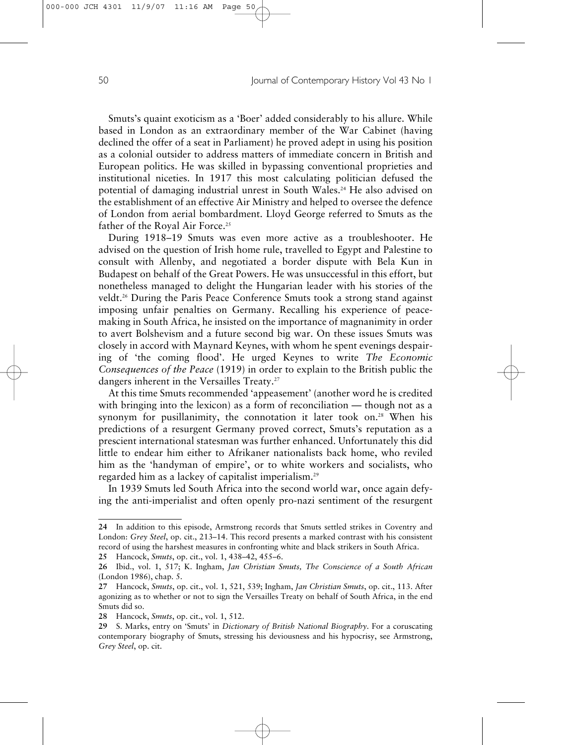50 Journal of Contemporary History Vol 43 No 1

Smuts's quaint exoticism as a 'Boer' added considerably to his allure. While based in London as an extraordinary member of the War Cabinet (having declined the offer of a seat in Parliament) he proved adept in using his position as a colonial outsider to address matters of immediate concern in British and European politics. He was skilled in bypassing conventional proprieties and institutional niceties. In 1917 this most calculating politician defused the potential of damaging industrial unrest in South Wales.<sup>24</sup> He also advised on the establishment of an effective Air Ministry and helped to oversee the defence of London from aerial bombardment. Lloyd George referred to Smuts as the father of the Royal Air Force.<sup>25</sup>

During 1918–19 Smuts was even more active as a troubleshooter. He advised on the question of Irish home rule, travelled to Egypt and Palestine to consult with Allenby, and negotiated a border dispute with Bela Kun in Budapest on behalf of the Great Powers. He was unsuccessful in this effort, but nonetheless managed to delight the Hungarian leader with his stories of the veldt.26 During the Paris Peace Conference Smuts took a strong stand against imposing unfair penalties on Germany. Recalling his experience of peacemaking in South Africa, he insisted on the importance of magnanimity in order to avert Bolshevism and a future second big war. On these issues Smuts was closely in accord with Maynard Keynes, with whom he spent evenings despairing of 'the coming flood'. He urged Keynes to write *The Economic Consequences of the Peace* (1919) in order to explain to the British public the dangers inherent in the Versailles Treaty.27

At this time Smuts recommended 'appeasement' (another word he is credited with bringing into the lexicon) as a form of reconciliation — though not as a synonym for pusillanimity, the connotation it later took on.<sup>28</sup> When his predictions of a resurgent Germany proved correct, Smuts's reputation as a prescient international statesman was further enhanced. Unfortunately this did little to endear him either to Afrikaner nationalists back home, who reviled him as the 'handyman of empire', or to white workers and socialists, who regarded him as a lackey of capitalist imperialism.29

In 1939 Smuts led South Africa into the second world war, once again defying the anti-imperialist and often openly pro-nazi sentiment of the resurgent

**<sup>24</sup>** In addition to this episode, Armstrong records that Smuts settled strikes in Coventry and London: *Grey Steel*, op. cit., 213–14. This record presents a marked contrast with his consistent record of using the harshest measures in confronting white and black strikers in South Africa.

**<sup>25</sup>** Hancock, *Smuts*, op. cit., vol. 1, 438–42, 455–6.

**<sup>26</sup>** Ibid., vol. 1, 517; K. Ingham, *Jan Christian Smuts, The Conscience of a South African* (London 1986), chap. 5.

**<sup>27</sup>** Hancock, *Smuts*, op. cit., vol. 1, 521, 539; Ingham, *Jan Christian Smuts*, op. cit., 113. After agonizing as to whether or not to sign the Versailles Treaty on behalf of South Africa, in the end Smuts did so.

**<sup>28</sup>** Hancock, *Smuts*, op. cit., vol. 1, 512.

**<sup>29</sup>** S. Marks, entry on 'Smuts' in *Dictionary of British National Biography*. For a coruscating contemporary biography of Smuts, stressing his deviousness and his hypocrisy, see Armstrong, *Grey Steel*, op. cit.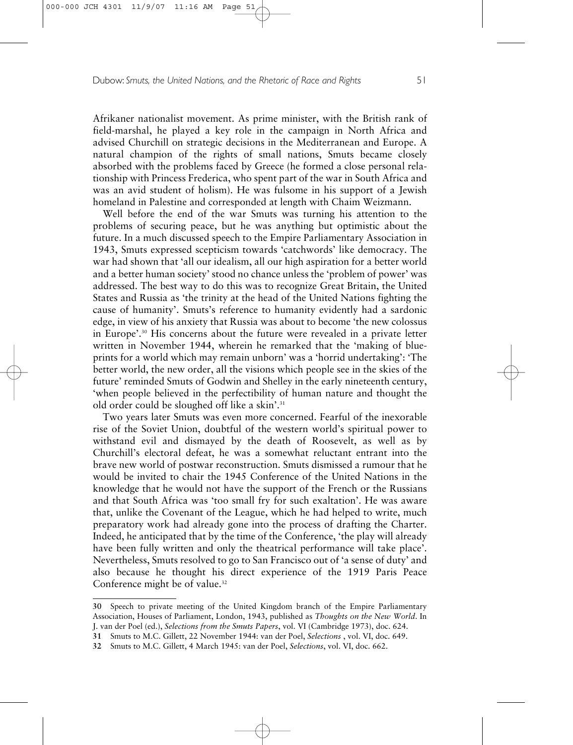Afrikaner nationalist movement. As prime minister, with the British rank of field-marshal, he played a key role in the campaign in North Africa and advised Churchill on strategic decisions in the Mediterranean and Europe. A natural champion of the rights of small nations, Smuts became closely absorbed with the problems faced by Greece (he formed a close personal relationship with Princess Frederica, who spent part of the war in South Africa and was an avid student of holism). He was fulsome in his support of a Jewish homeland in Palestine and corresponded at length with Chaim Weizmann.

Well before the end of the war Smuts was turning his attention to the problems of securing peace, but he was anything but optimistic about the future. In a much discussed speech to the Empire Parliamentary Association in 1943, Smuts expressed scepticism towards 'catchwords' like democracy. The war had shown that 'all our idealism, all our high aspiration for a better world and a better human society' stood no chance unless the 'problem of power' was addressed. The best way to do this was to recognize Great Britain, the United States and Russia as 'the trinity at the head of the United Nations fighting the cause of humanity'. Smuts's reference to humanity evidently had a sardonic edge, in view of his anxiety that Russia was about to become 'the new colossus in Europe'.30 His concerns about the future were revealed in a private letter written in November 1944, wherein he remarked that the 'making of blueprints for a world which may remain unborn' was a 'horrid undertaking': 'The better world, the new order, all the visions which people see in the skies of the future' reminded Smuts of Godwin and Shelley in the early nineteenth century, 'when people believed in the perfectibility of human nature and thought the old order could be sloughed off like a skin'.31

Two years later Smuts was even more concerned. Fearful of the inexorable rise of the Soviet Union, doubtful of the western world's spiritual power to withstand evil and dismayed by the death of Roosevelt, as well as by Churchill's electoral defeat, he was a somewhat reluctant entrant into the brave new world of postwar reconstruction. Smuts dismissed a rumour that he would be invited to chair the 1945 Conference of the United Nations in the knowledge that he would not have the support of the French or the Russians and that South Africa was 'too small fry for such exaltation'. He was aware that, unlike the Covenant of the League, which he had helped to write, much preparatory work had already gone into the process of drafting the Charter. Indeed, he anticipated that by the time of the Conference, 'the play will already have been fully written and only the theatrical performance will take place'. Nevertheless, Smuts resolved to go to San Francisco out of 'a sense of duty' and also because he thought his direct experience of the 1919 Paris Peace Conference might be of value.<sup>32</sup>

**<sup>30</sup>** Speech to private meeting of the United Kingdom branch of the Empire Parliamentary Association, Houses of Parliament, London, 1943, published as *Thoughts on the New World*. In J. van der Poel (ed.), *Selections from the Smuts Papers*, vol. VI (Cambridge 1973), doc. 624.

**<sup>31</sup>** Smuts to M.C. Gillett, 22 November 1944: van der Poel, *Selections* , vol. VI, doc. 649.

**<sup>32</sup>** Smuts to M.C. Gillett, 4 March 1945: van der Poel, *Selections*, vol. VI, doc. 662.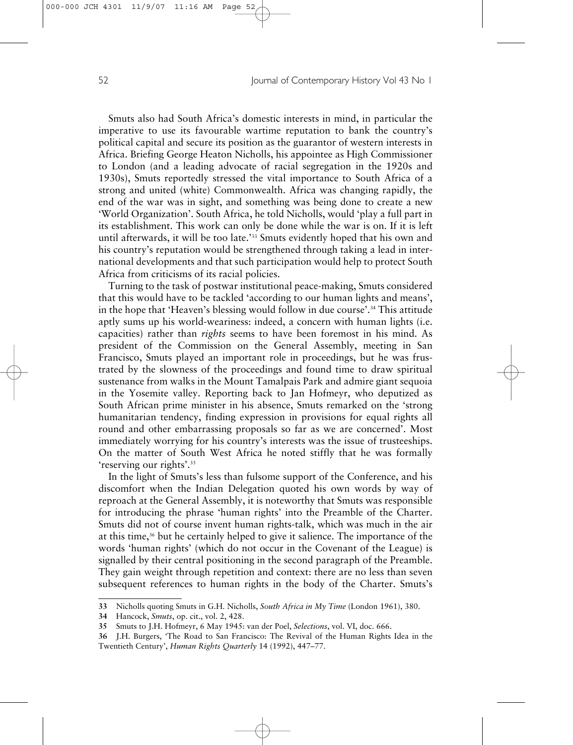Smuts also had South Africa's domestic interests in mind, in particular the imperative to use its favourable wartime reputation to bank the country's political capital and secure its position as the guarantor of western interests in Africa. Briefing George Heaton Nicholls, his appointee as High Commissioner to London (and a leading advocate of racial segregation in the 1920s and 1930s), Smuts reportedly stressed the vital importance to South Africa of a strong and united (white) Commonwealth. Africa was changing rapidly, the end of the war was in sight, and something was being done to create a new 'World Organization'. South Africa, he told Nicholls, would 'play a full part in its establishment. This work can only be done while the war is on. If it is left until afterwards, it will be too late.'33 Smuts evidently hoped that his own and his country's reputation would be strengthened through taking a lead in international developments and that such participation would help to protect South Africa from criticisms of its racial policies.

Turning to the task of postwar institutional peace-making, Smuts considered that this would have to be tackled 'according to our human lights and means', in the hope that 'Heaven's blessing would follow in due course'.34 This attitude aptly sums up his world-weariness: indeed, a concern with human lights (i.e. capacities) rather than *rights* seems to have been foremost in his mind. As president of the Commission on the General Assembly, meeting in San Francisco, Smuts played an important role in proceedings, but he was frustrated by the slowness of the proceedings and found time to draw spiritual sustenance from walks in the Mount Tamalpais Park and admire giant sequoia in the Yosemite valley. Reporting back to Jan Hofmeyr, who deputized as South African prime minister in his absence, Smuts remarked on the 'strong humanitarian tendency, finding expression in provisions for equal rights all round and other embarrassing proposals so far as we are concerned'. Most immediately worrying for his country's interests was the issue of trusteeships. On the matter of South West Africa he noted stiffly that he was formally 'reserving our rights'.35

In the light of Smuts's less than fulsome support of the Conference, and his discomfort when the Indian Delegation quoted his own words by way of reproach at the General Assembly, it is noteworthy that Smuts was responsible for introducing the phrase 'human rights' into the Preamble of the Charter. Smuts did not of course invent human rights-talk, which was much in the air at this time,36 but he certainly helped to give it salience. The importance of the words 'human rights' (which do not occur in the Covenant of the League) is signalled by their central positioning in the second paragraph of the Preamble. They gain weight through repetition and context: there are no less than seven subsequent references to human rights in the body of the Charter. Smuts's

**<sup>33</sup>** Nicholls quoting Smuts in G.H. Nicholls, *South Africa in My Time* (London 1961), 380.

**<sup>34</sup>** Hancock, *Smuts*, op. cit., vol. 2, 428.

**<sup>35</sup>** Smuts to J.H. Hofmeyr, 6 May 1945: van der Poel, *Selections*, vol. VI, doc. 666.

**<sup>36</sup>** J.H. Burgers, 'The Road to San Francisco: The Revival of the Human Rights Idea in the Twentieth Century', *Human Rights Quarterly* 14 (1992), 447–77.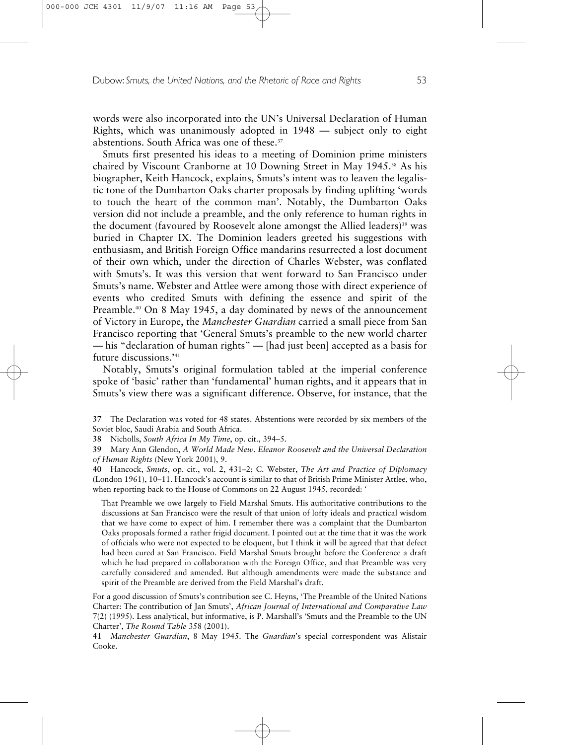words were also incorporated into the UN's Universal Declaration of Human Rights, which was unanimously adopted in 1948 — subject only to eight abstentions. South Africa was one of these.<sup>37</sup>

Smuts first presented his ideas to a meeting of Dominion prime ministers chaired by Viscount Cranborne at 10 Downing Street in May 1945.38 As his biographer, Keith Hancock, explains, Smuts's intent was to leaven the legalistic tone of the Dumbarton Oaks charter proposals by finding uplifting 'words to touch the heart of the common man'. Notably, the Dumbarton Oaks version did not include a preamble, and the only reference to human rights in the document (favoured by Roosevelt alone amongst the Allied leaders)<sup>39</sup> was buried in Chapter IX. The Dominion leaders greeted his suggestions with enthusiasm, and British Foreign Office mandarins resurrected a lost document of their own which, under the direction of Charles Webster, was conflated with Smuts's. It was this version that went forward to San Francisco under Smuts's name. Webster and Attlee were among those with direct experience of events who credited Smuts with defining the essence and spirit of the Preamble.<sup>40</sup> On 8 May 1945, a day dominated by news of the announcement of Victory in Europe, the *Manchester Guardian* carried a small piece from San Francisco reporting that 'General Smuts's preamble to the new world charter — his "declaration of human rights" — [had just been] accepted as a basis for future discussions.'41

Notably, Smuts's original formulation tabled at the imperial conference spoke of 'basic' rather than 'fundamental' human rights, and it appears that in Smuts's view there was a significant difference. Observe, for instance, that the

**<sup>37</sup>** The Declaration was voted for 48 states. Abstentions were recorded by six members of the Soviet bloc, Saudi Arabia and South Africa.

**<sup>38</sup>** Nicholls, *South Africa In My Time*, op. cit., 394–5.

**<sup>39</sup>** Mary Ann Glendon, *A World Made New*. *Eleanor Roosevelt and the Universal Declaration of Human Rights* (New York 2001), 9.

**<sup>40</sup>** Hancock, *Smuts*, op. cit., vol. 2, 431–2; C. Webster, *The Art and Practice of Diplomacy* (London 1961), 10–11. Hancock's account is similar to that of British Prime Minister Attlee, who, when reporting back to the House of Commons on 22 August 1945, recorded: '

That Preamble we owe largely to Field Marshal Smuts. His authoritative contributions to the discussions at San Francisco were the result of that union of lofty ideals and practical wisdom that we have come to expect of him. I remember there was a complaint that the Dumbarton Oaks proposals formed a rather frigid document. I pointed out at the time that it was the work of officials who were not expected to be eloquent, but I think it will be agreed that that defect had been cured at San Francisco. Field Marshal Smuts brought before the Conference a draft which he had prepared in collaboration with the Foreign Office, and that Preamble was very carefully considered and amended. But although amendments were made the substance and spirit of the Preamble are derived from the Field Marshal's draft.

For a good discussion of Smuts's contribution see C. Heyns, 'The Preamble of the United Nations Charter: The contribution of Jan Smuts', *African Journal of International and Comparative Law* 7(2) (1995). Less analytical, but informative, is P. Marshall's 'Smuts and the Preamble to the UN Charter', *The Round Table* 358 (2001).

**<sup>41</sup>** *Manchester Guardian*, 8 May 1945. The *Guardian*'s special correspondent was Alistair Cooke.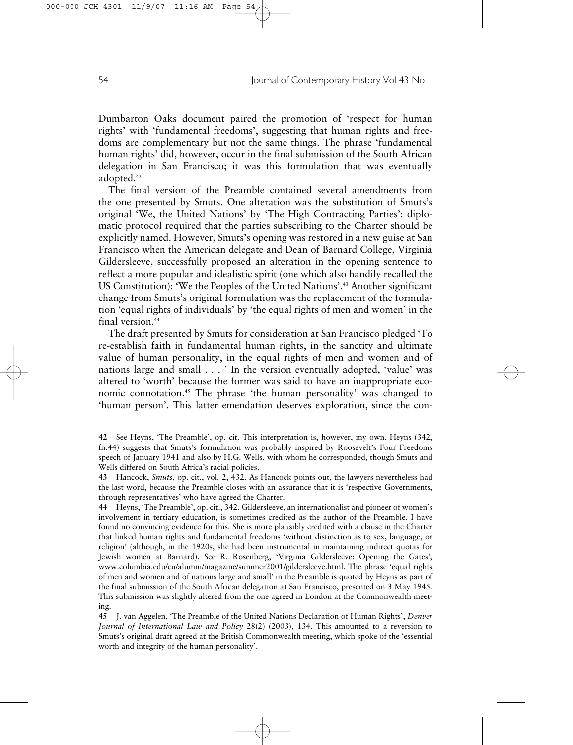000-000 JCH 4301

Dumbarton Oaks document paired the promotion of 'respect for human rights' with 'fundamental freedoms', suggesting that human rights and freedoms are complementary but not the same things. The phrase 'fundamental human rights' did, however, occur in the final submission of the South African delegation in San Francisco; it was this formulation that was eventually adopted.42

The final version of the Preamble contained several amendments from the one presented by Smuts. One alteration was the substitution of Smuts's original 'We, the United Nations' by 'The High Contracting Parties': diplomatic protocol required that the parties subscribing to the Charter should be explicitly named. However, Smuts's opening was restored in a new guise at San Francisco when the American delegate and Dean of Barnard College, Virginia Gildersleeve, successfully proposed an alteration in the opening sentence to reflect a more popular and idealistic spirit (one which also handily recalled the US Constitution): 'We the Peoples of the United Nations'.43 Another significant change from Smuts's original formulation was the replacement of the formulation 'equal rights of individuals' by 'the equal rights of men and women' in the final version.<sup>44</sup>

The draft presented by Smuts for consideration at San Francisco pledged 'To re-establish faith in fundamental human rights, in the sanctity and ultimate value of human personality, in the equal rights of men and women and of nations large and small . . . ' In the version eventually adopted, 'value' was altered to 'worth' because the former was said to have an inappropriate economic connotation.45 The phrase 'the human personality' was changed to 'human person'. This latter emendation deserves exploration, since the con-

**<sup>42</sup>** See Heyns, 'The Preamble', op. cit. This interpretation is, however, my own. Heyns (342, fn.44) suggests that Smuts's formulation was probably inspired by Roosevelt's Four Freedoms speech of January 1941 and also by H.G. Wells, with whom he corresponded, though Smuts and Wells differed on South Africa's racial policies.

**<sup>43</sup>** Hancock, *Smuts*, op. cit., vol. 2, 432. As Hancock points out, the lawyers nevertheless had the last word, because the Preamble closes with an assurance that it is 'respective Governments, through representatives' who have agreed the Charter.

**<sup>44</sup>** Heyns, 'The Preamble', op. cit., 342. Gildersleeve, an internationalist and pioneer of women's involvement in tertiary education, is sometimes credited as the author of the Preamble. I have found no convincing evidence for this. She is more plausibly credited with a clause in the Charter that linked human rights and fundamental freedoms 'without distinction as to sex, language, or religion' (although, in the 1920s, she had been instrumental in maintaining indirect quotas for Jewish women at Barnard). See R. Rosenberg, 'Virginia Gildersleeve: Opening the Gates', www.columbia.edu/cu/alumni/magazine/summer2001/gildersleeve.html. The phrase 'equal rights of men and women and of nations large and small' in the Preamble is quoted by Heyns as part of the final submission of the South African delegation at San Francisco, presented on 3 May 1945. This submission was slightly altered from the one agreed in London at the Commonwealth meeting.

**<sup>45</sup>** J. van Aggelen, 'The Preamble of the United Nations Declaration of Human Rights', *Denver Journal of International Law and Policy* 28(2) (2003), 134. This amounted to a reversion to Smuts's original draft agreed at the British Commonwealth meeting, which spoke of the 'essential worth and integrity of the human personality'.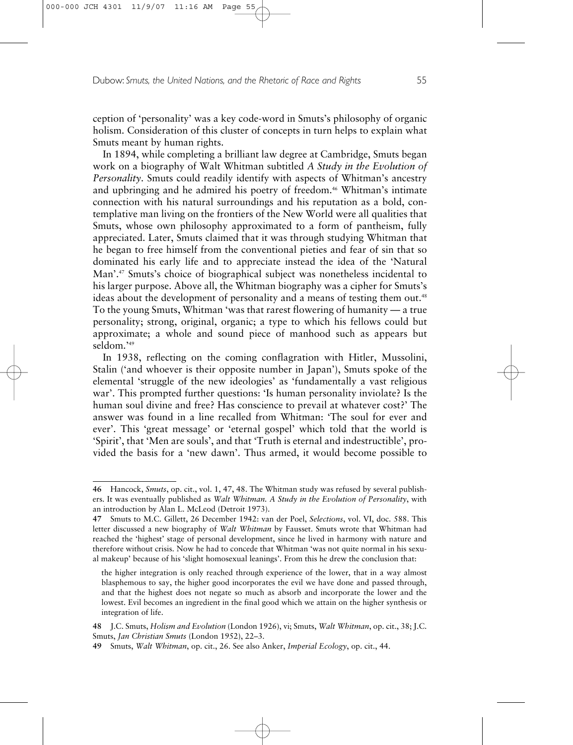ception of 'personality' was a key code-word in Smuts's philosophy of organic holism. Consideration of this cluster of concepts in turn helps to explain what Smuts meant by human rights.

In 1894, while completing a brilliant law degree at Cambridge, Smuts began work on a biography of Walt Whitman subtitled *A Study in the Evolution of Personality*. Smuts could readily identify with aspects of Whitman's ancestry and upbringing and he admired his poetry of freedom.<sup>46</sup> Whitman's intimate connection with his natural surroundings and his reputation as a bold, contemplative man living on the frontiers of the New World were all qualities that Smuts, whose own philosophy approximated to a form of pantheism, fully appreciated. Later, Smuts claimed that it was through studying Whitman that he began to free himself from the conventional pieties and fear of sin that so dominated his early life and to appreciate instead the idea of the 'Natural Man'.47 Smuts's choice of biographical subject was nonetheless incidental to his larger purpose. Above all, the Whitman biography was a cipher for Smuts's ideas about the development of personality and a means of testing them out.<sup>48</sup> To the young Smuts, Whitman 'was that rarest flowering of humanity — a true personality; strong, original, organic; a type to which his fellows could but approximate; a whole and sound piece of manhood such as appears but seldom.'49

In 1938, reflecting on the coming conflagration with Hitler, Mussolini, Stalin ('and whoever is their opposite number in Japan'), Smuts spoke of the elemental 'struggle of the new ideologies' as 'fundamentally a vast religious war'. This prompted further questions: 'Is human personality inviolate? Is the human soul divine and free? Has conscience to prevail at whatever cost?' The answer was found in a line recalled from Whitman: 'The soul for ever and ever'. This 'great message' or 'eternal gospel' which told that the world is 'Spirit', that 'Men are souls', and that 'Truth is eternal and indestructible', provided the basis for a 'new dawn'. Thus armed, it would become possible to

**<sup>46</sup>** Hancock, *Smuts*, op. cit., vol. 1, 47, 48. The Whitman study was refused by several publishers. It was eventually published as *Walt Whitman. A Study in the Evolution of Personality*, with an introduction by Alan L. McLeod (Detroit 1973).

**<sup>47</sup>** Smuts to M.C. Gillett, 26 December 1942: van der Poel, *Selections*, vol. VI, doc. 588. This letter discussed a new biography of *Walt Whitman* by Fausset. Smuts wrote that Whitman had reached the 'highest' stage of personal development, since he lived in harmony with nature and therefore without crisis. Now he had to concede that Whitman 'was not quite normal in his sexual makeup' because of his 'slight homosexual leanings'. From this he drew the conclusion that:

the higher integration is only reached through experience of the lower, that in a way almost blasphemous to say, the higher good incorporates the evil we have done and passed through, and that the highest does not negate so much as absorb and incorporate the lower and the lowest. Evil becomes an ingredient in the final good which we attain on the higher synthesis or integration of life.

**<sup>48</sup>** J.C. Smuts, *Holism and Evolution* (London 1926), vi; Smuts, *Walt Whitman*, op. cit., 38; J.C. Smuts, *Jan Christian Smuts* (London 1952), 22–3.

**<sup>49</sup>** Smuts, *Walt Whitman*, op. cit., 26. See also Anker, *Imperial Ecology*, op. cit., 44.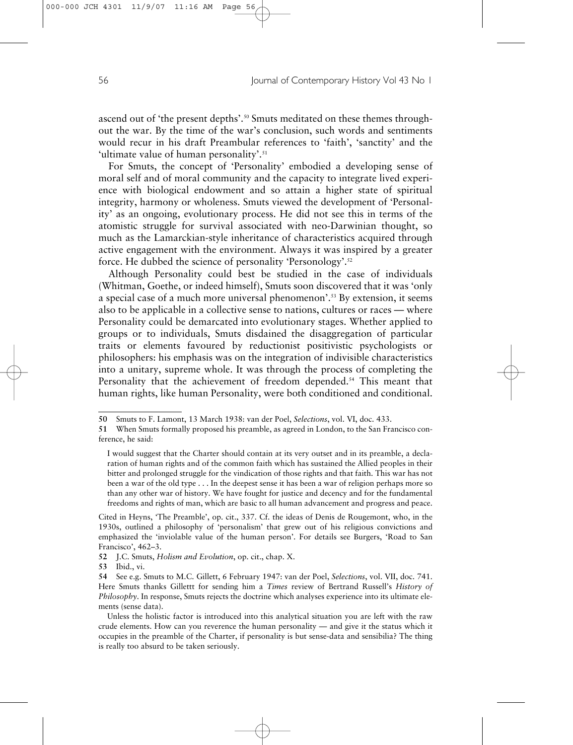ascend out of 'the present depths'.<sup>50</sup> Smuts meditated on these themes throughout the war. By the time of the war's conclusion, such words and sentiments would recur in his draft Preambular references to 'faith', 'sanctity' and the 'ultimate value of human personality'.<sup>51</sup>

For Smuts, the concept of 'Personality' embodied a developing sense of moral self and of moral community and the capacity to integrate lived experience with biological endowment and so attain a higher state of spiritual integrity, harmony or wholeness. Smuts viewed the development of 'Personality' as an ongoing, evolutionary process. He did not see this in terms of the atomistic struggle for survival associated with neo-Darwinian thought, so much as the Lamarckian-style inheritance of characteristics acquired through active engagement with the environment. Always it was inspired by a greater force. He dubbed the science of personality 'Personology'.52

Although Personality could best be studied in the case of individuals (Whitman, Goethe, or indeed himself), Smuts soon discovered that it was 'only a special case of a much more universal phenomenon'.53 By extension, it seems also to be applicable in a collective sense to nations, cultures or races — where Personality could be demarcated into evolutionary stages. Whether applied to groups or to individuals, Smuts disdained the disaggregation of particular traits or elements favoured by reductionist positivistic psychologists or philosophers: his emphasis was on the integration of indivisible characteristics into a unitary, supreme whole. It was through the process of completing the Personality that the achievement of freedom depended.<sup>54</sup> This meant that human rights, like human Personality, were both conditioned and conditional.

**<sup>50</sup>** Smuts to F. Lamont, 13 March 1938: van der Poel, *Selections*, vol. VI, doc. 433.

**<sup>51</sup>** When Smuts formally proposed his preamble, as agreed in London, to the San Francisco conference, he said:

I would suggest that the Charter should contain at its very outset and in its preamble, a declaration of human rights and of the common faith which has sustained the Allied peoples in their bitter and prolonged struggle for the vindication of those rights and that faith. This war has not been a war of the old type . . . In the deepest sense it has been a war of religion perhaps more so than any other war of history. We have fought for justice and decency and for the fundamental freedoms and rights of man, which are basic to all human advancement and progress and peace.

Cited in Heyns, 'The Preamble', op. cit., 337. Cf. the ideas of Denis de Rougemont, who, in the 1930s, outlined a philosophy of 'personalism' that grew out of his religious convictions and emphasized the 'inviolable value of the human person'. For details see Burgers, 'Road to San Francisco', 462–3.

**<sup>52</sup>** J.C. Smuts, *Holism and Evolution*, op. cit., chap. X.

**<sup>53</sup>** Ibid., vi.

**<sup>54</sup>** See e.g. Smuts to M.C. Gillett, 6 February 1947: van der Poel, *Selections*, vol. VII, doc. 741. Here Smuts thanks Gillettt for sending him a *Times* review of Bertrand Russell's *History of Philosophy*. In response, Smuts rejects the doctrine which analyses experience into its ultimate elements (sense data).

Unless the holistic factor is introduced into this analytical situation you are left with the raw crude elements. How can you reverence the human personality — and give it the status which it occupies in the preamble of the Charter, if personality is but sense-data and sensibilia? The thing is really too absurd to be taken seriously.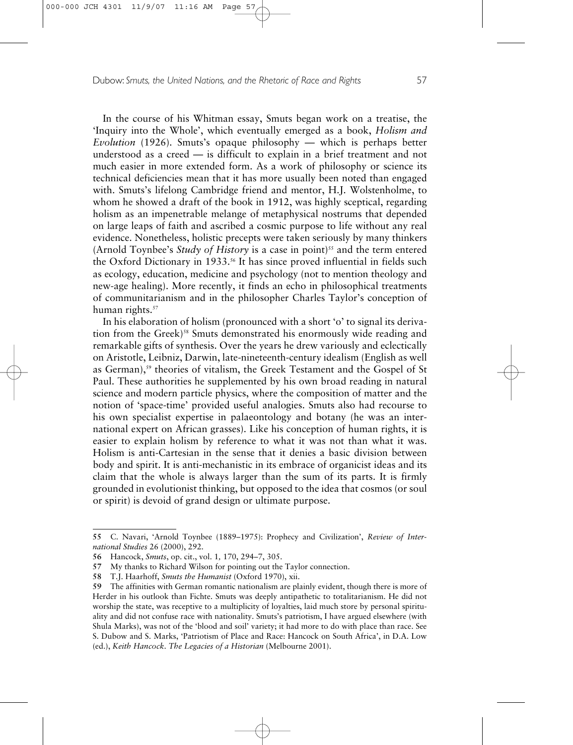In the course of his Whitman essay, Smuts began work on a treatise, the 'Inquiry into the Whole', which eventually emerged as a book, *Holism and Evolution* (1926). Smuts's opaque philosophy — which is perhaps better understood as a creed — is difficult to explain in a brief treatment and not much easier in more extended form. As a work of philosophy or science its technical deficiencies mean that it has more usually been noted than engaged with. Smuts's lifelong Cambridge friend and mentor, H.J. Wolstenholme, to whom he showed a draft of the book in 1912, was highly sceptical, regarding holism as an impenetrable melange of metaphysical nostrums that depended on large leaps of faith and ascribed a cosmic purpose to life without any real evidence. Nonetheless, holistic precepts were taken seriously by many thinkers (Arnold Toynbee's *Study of History* is a case in point)<sup>55</sup> and the term entered the Oxford Dictionary in 1933.<sup>56</sup> It has since proved influential in fields such as ecology, education, medicine and psychology (not to mention theology and new-age healing). More recently, it finds an echo in philosophical treatments of communitarianism and in the philosopher Charles Taylor's conception of human rights.<sup>57</sup>

In his elaboration of holism (pronounced with a short 'o' to signal its derivation from the Greek)<sup>58</sup> Smuts demonstrated his enormously wide reading and remarkable gifts of synthesis. Over the years he drew variously and eclectically on Aristotle, Leibniz, Darwin, late-nineteenth-century idealism (English as well as German),<sup>59</sup> theories of vitalism, the Greek Testament and the Gospel of St Paul. These authorities he supplemented by his own broad reading in natural science and modern particle physics, where the composition of matter and the notion of 'space-time' provided useful analogies. Smuts also had recourse to his own specialist expertise in palaeontology and botany (he was an international expert on African grasses). Like his conception of human rights, it is easier to explain holism by reference to what it was not than what it was. Holism is anti-Cartesian in the sense that it denies a basic division between body and spirit. It is anti-mechanistic in its embrace of organicist ideas and its claim that the whole is always larger than the sum of its parts. It is firmly grounded in evolutionist thinking, but opposed to the idea that cosmos (or soul or spirit) is devoid of grand design or ultimate purpose.

**<sup>55</sup>** C. Navari, 'Arnold Toynbee (1889–1975): Prophecy and Civilization', *Review of International Studies* 26 (2000), 292.

**<sup>56</sup>** Hancock, *Smuts*, op. cit., vol. 1*,* 170, 294–7, 305.

**<sup>57</sup>** My thanks to Richard Wilson for pointing out the Taylor connection.

**<sup>58</sup>** T.J. Haarhoff, *Smuts the Humanist* (Oxford 1970), xii.

**<sup>59</sup>** The affinities with German romantic nationalism are plainly evident, though there is more of Herder in his outlook than Fichte. Smuts was deeply antipathetic to totalitarianism. He did not worship the state, was receptive to a multiplicity of loyalties, laid much store by personal spirituality and did not confuse race with nationality. Smuts's patriotism, I have argued elsewhere (with Shula Marks), was not of the 'blood and soil' variety; it had more to do with place than race. See S. Dubow and S. Marks, 'Patriotism of Place and Race: Hancock on South Africa', in D.A. Low (ed.), *Keith Hancock. The Legacies of a Historian* (Melbourne 2001).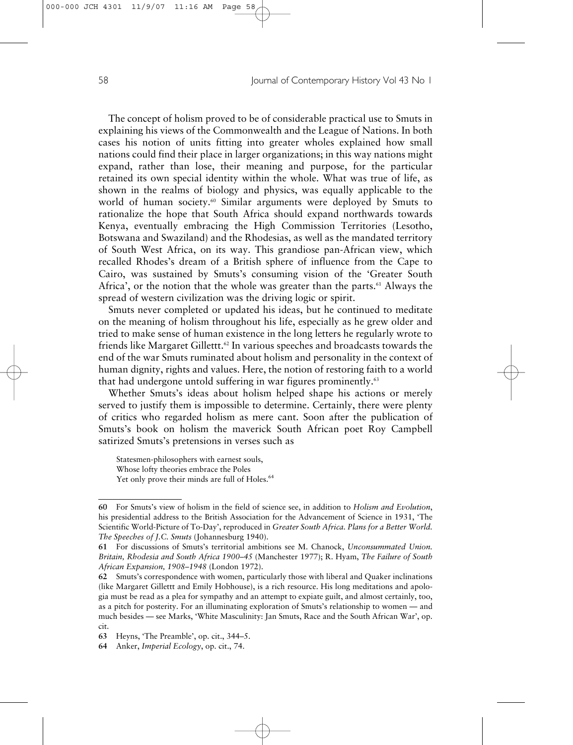58 Journal of Contemporary History Vol 43 No 1

000-000 JCH 4301 11/9/07

The concept of holism proved to be of considerable practical use to Smuts in explaining his views of the Commonwealth and the League of Nations. In both cases his notion of units fitting into greater wholes explained how small nations could find their place in larger organizations; in this way nations might expand, rather than lose, their meaning and purpose, for the particular retained its own special identity within the whole. What was true of life, as shown in the realms of biology and physics, was equally applicable to the world of human society.<sup>60</sup> Similar arguments were deployed by Smuts to rationalize the hope that South Africa should expand northwards towards Kenya, eventually embracing the High Commission Territories (Lesotho, Botswana and Swaziland) and the Rhodesias, as well as the mandated territory of South West Africa, on its way. This grandiose pan-African view, which recalled Rhodes's dream of a British sphere of influence from the Cape to Cairo, was sustained by Smuts's consuming vision of the 'Greater South Africa', or the notion that the whole was greater than the parts.<sup>61</sup> Always the spread of western civilization was the driving logic or spirit.

Smuts never completed or updated his ideas, but he continued to meditate on the meaning of holism throughout his life, especially as he grew older and tried to make sense of human existence in the long letters he regularly wrote to friends like Margaret Gillettt.<sup>62</sup> In various speeches and broadcasts towards the end of the war Smuts ruminated about holism and personality in the context of human dignity, rights and values. Here, the notion of restoring faith to a world that had undergone untold suffering in war figures prominently.<sup>63</sup>

Whether Smuts's ideas about holism helped shape his actions or merely served to justify them is impossible to determine. Certainly, there were plenty of critics who regarded holism as mere cant. Soon after the publication of Smuts's book on holism the maverick South African poet Roy Campbell satirized Smuts's pretensions in verses such as

Statesmen-philosophers with earnest souls, Whose lofty theories embrace the Poles Yet only prove their minds are full of Holes.<sup>64</sup>

**<sup>60</sup>** For Smuts's view of holism in the field of science see, in addition to *Holism and Evolution*, his presidential address to the British Association for the Advancement of Science in 1931, 'The Scientific World-Picture of To-Day', reproduced in *Greater South Africa. Plans for a Better World. The Speeches of J.C. Smuts* (Johannesburg 1940).

**<sup>61</sup>** For discussions of Smuts's territorial ambitions see M. Chanock, *Unconsummated Union. Britain, Rhodesia and South Africa 1900–45* (Manchester 1977); R. Hyam, *The Failure of South African Expansion, 1908–1948* (London 1972).

**<sup>62</sup>** Smuts's correspondence with women, particularly those with liberal and Quaker inclinations (like Margaret Gillettt and Emily Hobhouse), is a rich resource. His long meditations and apologia must be read as a plea for sympathy and an attempt to expiate guilt, and almost certainly, too, as a pitch for posterity. For an illuminating exploration of Smuts's relationship to women — and much besides — see Marks, 'White Masculinity: Jan Smuts, Race and the South African War', op. cit.

**<sup>63</sup>** Heyns, 'The Preamble', op. cit., 344–5.

**<sup>64</sup>** Anker, *Imperial Ecology*, op. cit., 74.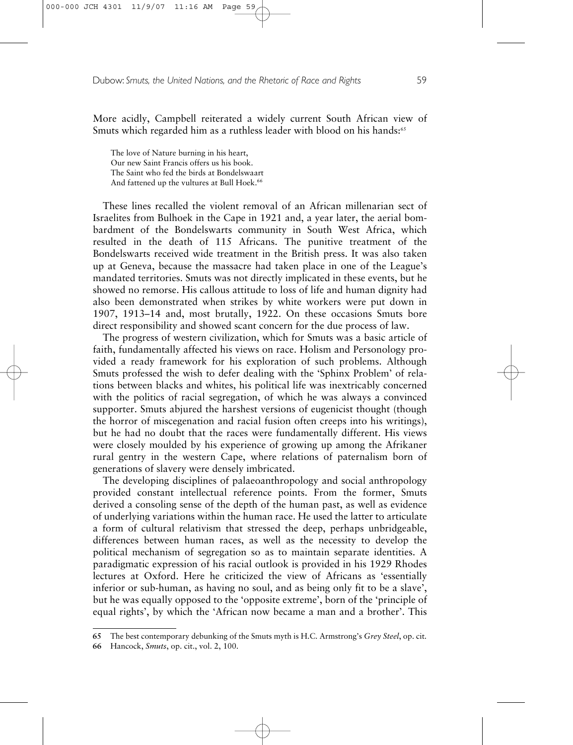More acidly, Campbell reiterated a widely current South African view of Smuts which regarded him as a ruthless leader with blood on his hands:<sup>65</sup>

The love of Nature burning in his heart, Our new Saint Francis offers us his book. The Saint who fed the birds at Bondelswaart And fattened up the vultures at Bull Hoek.<sup>66</sup>

000-000 JCH 4301

These lines recalled the violent removal of an African millenarian sect of Israelites from Bulhoek in the Cape in 1921 and, a year later, the aerial bombardment of the Bondelswarts community in South West Africa, which resulted in the death of 115 Africans. The punitive treatment of the Bondelswarts received wide treatment in the British press. It was also taken up at Geneva, because the massacre had taken place in one of the League's mandated territories. Smuts was not directly implicated in these events, but he showed no remorse. His callous attitude to loss of life and human dignity had also been demonstrated when strikes by white workers were put down in 1907, 1913–14 and, most brutally, 1922. On these occasions Smuts bore direct responsibility and showed scant concern for the due process of law.

The progress of western civilization, which for Smuts was a basic article of faith, fundamentally affected his views on race. Holism and Personology provided a ready framework for his exploration of such problems. Although Smuts professed the wish to defer dealing with the 'Sphinx Problem' of relations between blacks and whites, his political life was inextricably concerned with the politics of racial segregation, of which he was always a convinced supporter. Smuts abjured the harshest versions of eugenicist thought (though the horror of miscegenation and racial fusion often creeps into his writings), but he had no doubt that the races were fundamentally different. His views were closely moulded by his experience of growing up among the Afrikaner rural gentry in the western Cape, where relations of paternalism born of generations of slavery were densely imbricated.

The developing disciplines of palaeoanthropology and social anthropology provided constant intellectual reference points. From the former, Smuts derived a consoling sense of the depth of the human past, as well as evidence of underlying variations within the human race. He used the latter to articulate a form of cultural relativism that stressed the deep, perhaps unbridgeable, differences between human races, as well as the necessity to develop the political mechanism of segregation so as to maintain separate identities. A paradigmatic expression of his racial outlook is provided in his 1929 Rhodes lectures at Oxford. Here he criticized the view of Africans as 'essentially inferior or sub-human, as having no soul, and as being only fit to be a slave', but he was equally opposed to the 'opposite extreme', born of the 'principle of equal rights', by which the 'African now became a man and a brother'. This

**<sup>65</sup>** The best contemporary debunking of the Smuts myth is H.C. Armstrong's *Grey Steel*, op. cit*.*

**<sup>66</sup>** Hancock, *Smuts*, op. cit., vol. 2, 100.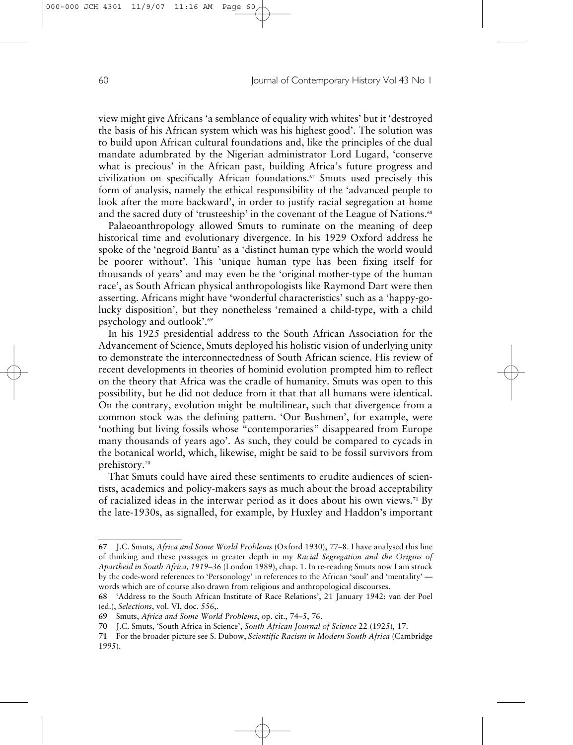view might give Africans 'a semblance of equality with whites' but it 'destroyed the basis of his African system which was his highest good'. The solution was to build upon African cultural foundations and, like the principles of the dual mandate adumbrated by the Nigerian administrator Lord Lugard, 'conserve what is precious' in the African past, building Africa's future progress and civilization on specifically African foundations.<sup>67</sup> Smuts used precisely this form of analysis, namely the ethical responsibility of the 'advanced people to look after the more backward', in order to justify racial segregation at home and the sacred duty of 'trusteeship' in the covenant of the League of Nations.<sup>68</sup>

Palaeoanthropology allowed Smuts to ruminate on the meaning of deep historical time and evolutionary divergence. In his 1929 Oxford address he spoke of the 'negroid Bantu' as a 'distinct human type which the world would be poorer without'. This 'unique human type has been fixing itself for thousands of years' and may even be the 'original mother-type of the human race', as South African physical anthropologists like Raymond Dart were then asserting. Africans might have 'wonderful characteristics' such as a 'happy-golucky disposition', but they nonetheless 'remained a child-type, with a child psychology and outlook'.69

In his 1925 presidential address to the South African Association for the Advancement of Science, Smuts deployed his holistic vision of underlying unity to demonstrate the interconnectedness of South African science. His review of recent developments in theories of hominid evolution prompted him to reflect on the theory that Africa was the cradle of humanity. Smuts was open to this possibility, but he did not deduce from it that that all humans were identical. On the contrary, evolution might be multilinear, such that divergence from a common stock was the defining pattern. 'Our Bushmen', for example, were 'nothing but living fossils whose "contemporaries" disappeared from Europe many thousands of years ago'. As such, they could be compared to cycads in the botanical world, which, likewise, might be said to be fossil survivors from prehistory.70

That Smuts could have aired these sentiments to erudite audiences of scientists, academics and policy-makers says as much about the broad acceptability of racialized ideas in the interwar period as it does about his own views.<sup>71</sup> By the late-1930s, as signalled, for example, by Huxley and Haddon's important

**<sup>67</sup>** J.C. Smuts, *Africa and Some World Problems* (Oxford 1930), 77–8. I have analysed this line of thinking and these passages in greater depth in my *Racial Segregation and the Origins of Apartheid in South Africa, 1919–36* (London 1989), chap. 1. In re-reading Smuts now I am struck by the code-word references to 'Personology' in references to the African 'soul' and 'mentality' words which are of course also drawn from religious and anthropological discourses.

**<sup>68</sup>** 'Address to the South African Institute of Race Relations', 21 January 1942: van der Poel (ed.), *Selections*, vol. VI, doc. 556,.

**<sup>69</sup>** Smuts, *Africa and Some World Problems*, op. cit., 74–5, 76.

**<sup>70</sup>** J.C. Smuts, 'South Africa in Science', *South African Journal of Science* 22 (1925)*,* 17.

**<sup>71</sup>** For the broader picture see S. Dubow, *Scientific Racism in Modern South Africa* (Cambridge 1995).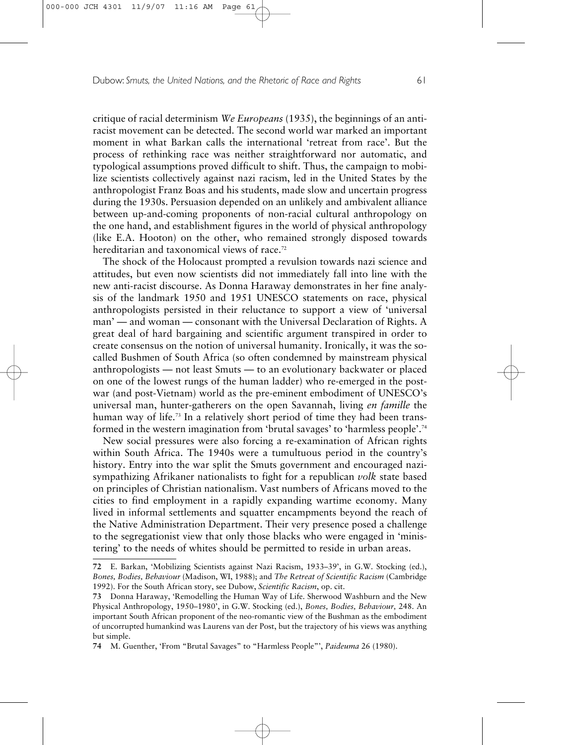critique of racial determinism *We Europeans* (1935), the beginnings of an antiracist movement can be detected. The second world war marked an important moment in what Barkan calls the international 'retreat from race'. But the process of rethinking race was neither straightforward nor automatic, and typological assumptions proved difficult to shift. Thus, the campaign to mobilize scientists collectively against nazi racism, led in the United States by the anthropologist Franz Boas and his students, made slow and uncertain progress during the 1930s. Persuasion depended on an unlikely and ambivalent alliance between up-and-coming proponents of non-racial cultural anthropology on the one hand, and establishment figures in the world of physical anthropology (like E.A. Hooton) on the other, who remained strongly disposed towards hereditarian and taxonomical views of race.<sup>72</sup>

The shock of the Holocaust prompted a revulsion towards nazi science and attitudes, but even now scientists did not immediately fall into line with the new anti-racist discourse. As Donna Haraway demonstrates in her fine analysis of the landmark 1950 and 1951 UNESCO statements on race, physical anthropologists persisted in their reluctance to support a view of 'universal man' — and woman — consonant with the Universal Declaration of Rights. A great deal of hard bargaining and scientific argument transpired in order to create consensus on the notion of universal humanity. Ironically, it was the socalled Bushmen of South Africa (so often condemned by mainstream physical anthropologists — not least Smuts — to an evolutionary backwater or placed on one of the lowest rungs of the human ladder) who re-emerged in the postwar (and post-Vietnam) world as the pre-eminent embodiment of UNESCO's universal man, hunter-gatherers on the open Savannah, living *en famille* the human way of life.<sup>73</sup> In a relatively short period of time they had been transformed in the western imagination from 'brutal savages' to 'harmless people'.74

New social pressures were also forcing a re-examination of African rights within South Africa. The 1940s were a tumultuous period in the country's history. Entry into the war split the Smuts government and encouraged nazisympathizing Afrikaner nationalists to fight for a republican *volk* state based on principles of Christian nationalism. Vast numbers of Africans moved to the cities to find employment in a rapidly expanding wartime economy. Many lived in informal settlements and squatter encampments beyond the reach of the Native Administration Department. Their very presence posed a challenge to the segregationist view that only those blacks who were engaged in 'ministering' to the needs of whites should be permitted to reside in urban areas.

**<sup>72</sup>** E. Barkan, 'Mobilizing Scientists against Nazi Racism, 1933–39', in G.W. Stocking (ed.), *Bones, Bodies, Behaviour* (Madison, WI, 1988); and *The Retreat of Scientific Racism* (Cambridge 1992). For the South African story, see Dubow, *Scientific Racism*, op. cit.

**<sup>73</sup>** Donna Haraway, 'Remodelling the Human Way of Life. Sherwood Washburn and the New Physical Anthropology, 1950–1980', in G.W. Stocking (ed.), *Bones, Bodies, Behaviour,* 248. An important South African proponent of the neo-romantic view of the Bushman as the embodiment of uncorrupted humankind was Laurens van der Post, but the trajectory of his views was anything but simple.

**<sup>74</sup>** M. Guenther, 'From "Brutal Savages" to "Harmless People"', *Paideuma* 26 (1980).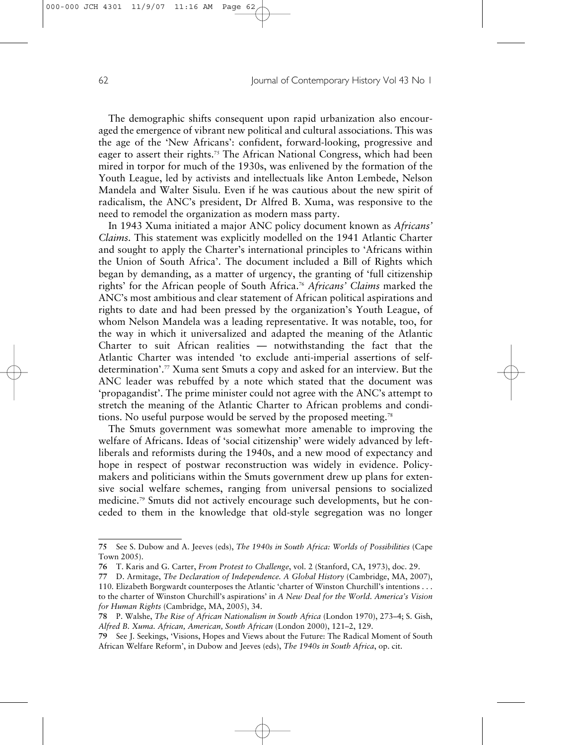The demographic shifts consequent upon rapid urbanization also encouraged the emergence of vibrant new political and cultural associations. This was the age of the 'New Africans': confident, forward-looking, progressive and eager to assert their rights.<sup>75</sup> The African National Congress, which had been mired in torpor for much of the 1930s, was enlivened by the formation of the Youth League, led by activists and intellectuals like Anton Lembede, Nelson Mandela and Walter Sisulu. Even if he was cautious about the new spirit of radicalism, the ANC's president, Dr Alfred B. Xuma, was responsive to the need to remodel the organization as modern mass party.

In 1943 Xuma initiated a major ANC policy document known as *Africans' Claims.* This statement was explicitly modelled on the 1941 Atlantic Charter and sought to apply the Charter's international principles to 'Africans within the Union of South Africa'. The document included a Bill of Rights which began by demanding, as a matter of urgency, the granting of 'full citizenship rights' for the African people of South Africa.76 *Africans' Claims* marked the ANC's most ambitious and clear statement of African political aspirations and rights to date and had been pressed by the organization's Youth League, of whom Nelson Mandela was a leading representative. It was notable, too, for the way in which it universalized and adapted the meaning of the Atlantic Charter to suit African realities — notwithstanding the fact that the Atlantic Charter was intended 'to exclude anti-imperial assertions of selfdetermination'.77 Xuma sent Smuts a copy and asked for an interview. But the ANC leader was rebuffed by a note which stated that the document was 'propagandist'. The prime minister could not agree with the ANC's attempt to stretch the meaning of the Atlantic Charter to African problems and conditions. No useful purpose would be served by the proposed meeting.78

The Smuts government was somewhat more amenable to improving the welfare of Africans. Ideas of 'social citizenship' were widely advanced by leftliberals and reformists during the 1940s, and a new mood of expectancy and hope in respect of postwar reconstruction was widely in evidence. Policymakers and politicians within the Smuts government drew up plans for extensive social welfare schemes, ranging from universal pensions to socialized medicine.79 Smuts did not actively encourage such developments, but he conceded to them in the knowledge that old-style segregation was no longer

**<sup>75</sup>** See S. Dubow and A. Jeeves (eds), *The 1940s in South Africa: Worlds of Possibilities* (Cape Town 2005).

**<sup>76</sup>** T. Karis and G. Carter, *From Protest to Challenge*, vol. 2 (Stanford, CA, 1973), doc. 29.

**<sup>77</sup>** D. Armitage, *The Declaration of Independence. A Global History* (Cambridge, MA, 2007), 110*.* Elizabeth Borgwardt counterposes the Atlantic 'charter of Winston Churchill's intentions . . . to the charter of Winston Churchill's aspirations' in *A New Deal for the World. America's Vision for Human Rights* (Cambridge, MA, 2005), 34.

**<sup>78</sup>** P. Walshe, *The Rise of African Nationalism in South Africa* (London 1970), 273–4; S. Gish, *Alfred B. Xuma. African, American, South African* (London 2000), 121–2, 129.

**<sup>79</sup>** See J. Seekings, 'Visions, Hopes and Views about the Future: The Radical Moment of South African Welfare Reform', in Dubow and Jeeves (eds), *The 1940s in South Africa*, op. cit.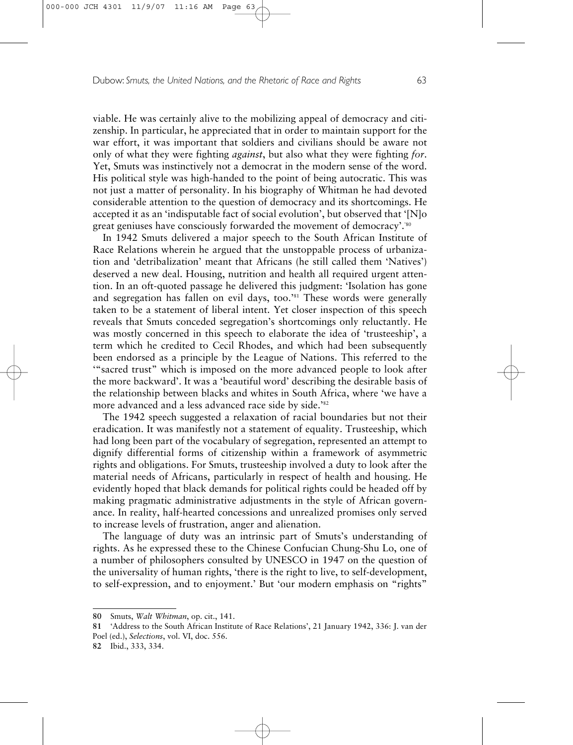viable. He was certainly alive to the mobilizing appeal of democracy and citizenship. In particular, he appreciated that in order to maintain support for the war effort, it was important that soldiers and civilians should be aware not only of what they were fighting *against*, but also what they were fighting *for*. Yet, Smuts was instinctively not a democrat in the modern sense of the word. His political style was high-handed to the point of being autocratic. This was not just a matter of personality. In his biography of Whitman he had devoted considerable attention to the question of democracy and its shortcomings. He accepted it as an 'indisputable fact of social evolution', but observed that '[N]o great geniuses have consciously forwarded the movement of democracy'.'80

In 1942 Smuts delivered a major speech to the South African Institute of Race Relations wherein he argued that the unstoppable process of urbanization and 'detribalization' meant that Africans (he still called them 'Natives') deserved a new deal. Housing, nutrition and health all required urgent attention. In an oft-quoted passage he delivered this judgment: 'Isolation has gone and segregation has fallen on evil days, too.'<sup>81</sup> These words were generally taken to be a statement of liberal intent. Yet closer inspection of this speech reveals that Smuts conceded segregation's shortcomings only reluctantly. He was mostly concerned in this speech to elaborate the idea of 'trusteeship', a term which he credited to Cecil Rhodes, and which had been subsequently been endorsed as a principle by the League of Nations. This referred to the '"sacred trust" which is imposed on the more advanced people to look after the more backward'. It was a 'beautiful word' describing the desirable basis of the relationship between blacks and whites in South Africa, where 'we have a more advanced and a less advanced race side by side.'<sup>82</sup>

The 1942 speech suggested a relaxation of racial boundaries but not their eradication. It was manifestly not a statement of equality. Trusteeship, which had long been part of the vocabulary of segregation, represented an attempt to dignify differential forms of citizenship within a framework of asymmetric rights and obligations. For Smuts, trusteeship involved a duty to look after the material needs of Africans, particularly in respect of health and housing. He evidently hoped that black demands for political rights could be headed off by making pragmatic administrative adjustments in the style of African governance. In reality, half-hearted concessions and unrealized promises only served to increase levels of frustration, anger and alienation.

The language of duty was an intrinsic part of Smuts's understanding of rights. As he expressed these to the Chinese Confucian Chung-Shu Lo, one of a number of philosophers consulted by UNESCO in 1947 on the question of the universality of human rights, 'there is the right to live, to self-development, to self-expression, and to enjoyment.' But 'our modern emphasis on "rights"

**<sup>80</sup>** Smuts, *Walt Whitman*, op. cit., 141.

**<sup>81</sup>** 'Address to the South African Institute of Race Relations', 21 January 1942, 336: J. van der Poel (ed.), *Selections*, vol. VI, doc. 556.

**<sup>82</sup>** Ibid., 333, 334.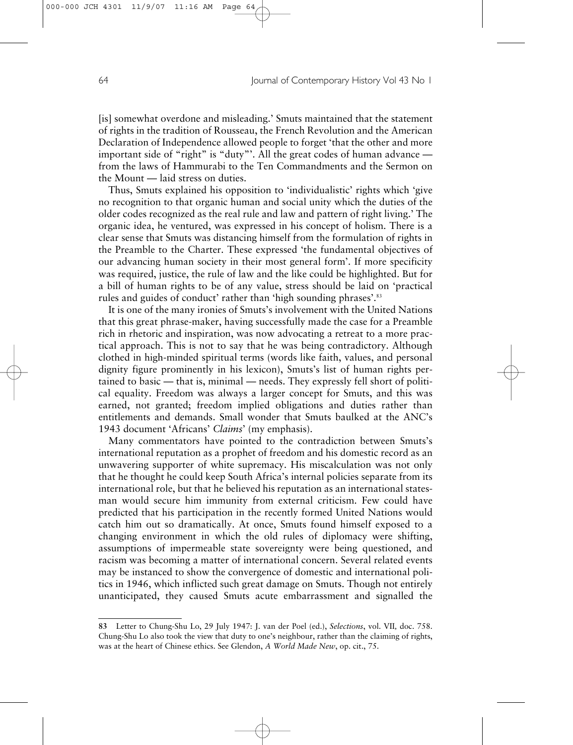[is] somewhat overdone and misleading.' Smuts maintained that the statement of rights in the tradition of Rousseau, the French Revolution and the American Declaration of Independence allowed people to forget 'that the other and more important side of "right" is "duty"'. All the great codes of human advance from the laws of Hammurabi to the Ten Commandments and the Sermon on the Mount — laid stress on duties.

Thus, Smuts explained his opposition to 'individualistic' rights which 'give no recognition to that organic human and social unity which the duties of the older codes recognized as the real rule and law and pattern of right living.' The organic idea, he ventured, was expressed in his concept of holism. There is a clear sense that Smuts was distancing himself from the formulation of rights in the Preamble to the Charter. These expressed 'the fundamental objectives of our advancing human society in their most general form'. If more specificity was required, justice, the rule of law and the like could be highlighted. But for a bill of human rights to be of any value, stress should be laid on 'practical rules and guides of conduct' rather than 'high sounding phrases'.<sup>83</sup>

It is one of the many ironies of Smuts's involvement with the United Nations that this great phrase-maker, having successfully made the case for a Preamble rich in rhetoric and inspiration, was now advocating a retreat to a more practical approach. This is not to say that he was being contradictory. Although clothed in high-minded spiritual terms (words like faith, values, and personal dignity figure prominently in his lexicon), Smuts's list of human rights pertained to basic — that is, minimal — needs. They expressly fell short of political equality. Freedom was always a larger concept for Smuts, and this was earned, not granted; freedom implied obligations and duties rather than entitlements and demands. Small wonder that Smuts baulked at the ANC's 1943 document 'Africans' *Claims*' (my emphasis).

Many commentators have pointed to the contradiction between Smuts's international reputation as a prophet of freedom and his domestic record as an unwavering supporter of white supremacy. His miscalculation was not only that he thought he could keep South Africa's internal policies separate from its international role, but that he believed his reputation as an international statesman would secure him immunity from external criticism. Few could have predicted that his participation in the recently formed United Nations would catch him out so dramatically. At once, Smuts found himself exposed to a changing environment in which the old rules of diplomacy were shifting, assumptions of impermeable state sovereignty were being questioned, and racism was becoming a matter of international concern. Several related events may be instanced to show the convergence of domestic and international politics in 1946, which inflicted such great damage on Smuts. Though not entirely unanticipated, they caused Smuts acute embarrassment and signalled the

**<sup>83</sup>** Letter to Chung-Shu Lo, 29 July 1947: J. van der Poel (ed.), *Selections*, vol. VII*,* doc. 758. Chung-Shu Lo also took the view that duty to one's neighbour, rather than the claiming of rights, was at the heart of Chinese ethics. See Glendon, *A World Made New*, op. cit., 75.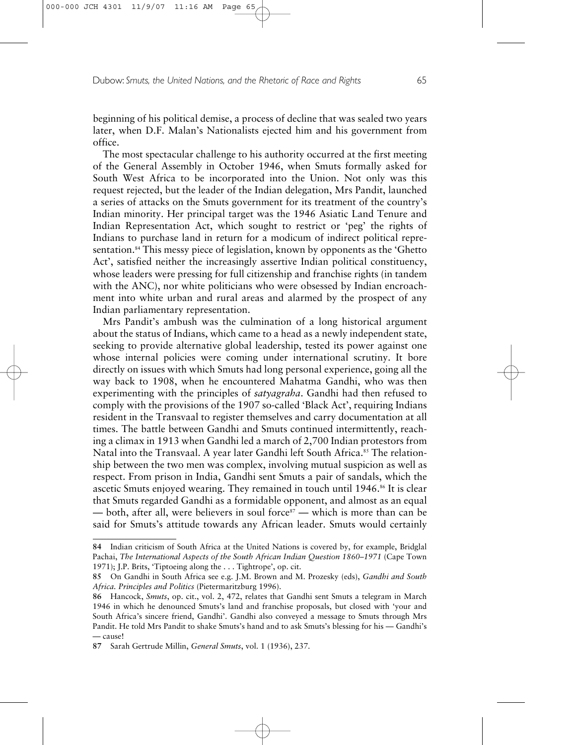beginning of his political demise, a process of decline that was sealed two years later, when D.F. Malan's Nationalists ejected him and his government from office.

The most spectacular challenge to his authority occurred at the first meeting of the General Assembly in October 1946, when Smuts formally asked for South West Africa to be incorporated into the Union. Not only was this request rejected, but the leader of the Indian delegation, Mrs Pandit, launched a series of attacks on the Smuts government for its treatment of the country's Indian minority. Her principal target was the 1946 Asiatic Land Tenure and Indian Representation Act, which sought to restrict or 'peg' the rights of Indians to purchase land in return for a modicum of indirect political representation.<sup>84</sup> This messy piece of legislation, known by opponents as the 'Ghetto Act', satisfied neither the increasingly assertive Indian political constituency, whose leaders were pressing for full citizenship and franchise rights (in tandem with the ANC), nor white politicians who were obsessed by Indian encroachment into white urban and rural areas and alarmed by the prospect of any Indian parliamentary representation.

Mrs Pandit's ambush was the culmination of a long historical argument about the status of Indians, which came to a head as a newly independent state, seeking to provide alternative global leadership, tested its power against one whose internal policies were coming under international scrutiny. It bore directly on issues with which Smuts had long personal experience, going all the way back to 1908, when he encountered Mahatma Gandhi, who was then experimenting with the principles of *satyagraha*. Gandhi had then refused to comply with the provisions of the 1907 so-called 'Black Act', requiring Indians resident in the Transvaal to register themselves and carry documentation at all times. The battle between Gandhi and Smuts continued intermittently, reaching a climax in 1913 when Gandhi led a march of 2,700 Indian protestors from Natal into the Transvaal. A year later Gandhi left South Africa.<sup>85</sup> The relationship between the two men was complex, involving mutual suspicion as well as respect. From prison in India, Gandhi sent Smuts a pair of sandals, which the ascetic Smuts enjoyed wearing. They remained in touch until 1946.<sup>86</sup> It is clear that Smuts regarded Gandhi as a formidable opponent, and almost as an equal — both, after all, were believers in soul force<sup>87</sup> — which is more than can be said for Smuts's attitude towards any African leader. Smuts would certainly

**<sup>84</sup>** Indian criticism of South Africa at the United Nations is covered by, for example, Bridglal Pachai, *The International Aspects of the South African Indian Question 1860–1971* (Cape Town 1971); J.P. Brits, 'Tiptoeing along the . . . Tightrope', op. cit.

**<sup>85</sup>** On Gandhi in South Africa see e.g. J.M. Brown and M. Prozesky (eds), *Gandhi and South Africa. Principles and Politics* (Pietermaritzburg 1996).

**<sup>86</sup>** Hancock, *Smuts*, op. cit., vol. 2, 472, relates that Gandhi sent Smuts a telegram in March 1946 in which he denounced Smuts's land and franchise proposals, but closed with 'your and South Africa's sincere friend, Gandhi'. Gandhi also conveyed a message to Smuts through Mrs Pandit. He told Mrs Pandit to shake Smuts's hand and to ask Smuts's blessing for his — Gandhi's — cause!

**<sup>87</sup>** Sarah Gertrude Millin, *General Smuts*, vol. 1 (1936), 237.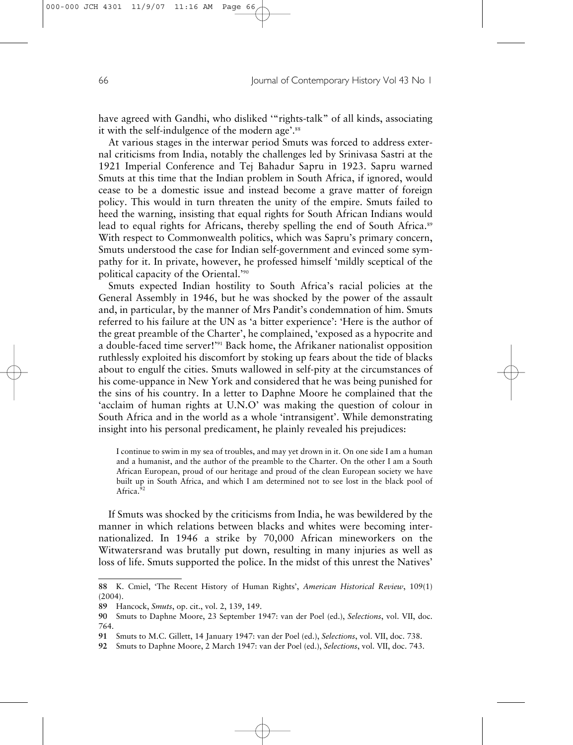have agreed with Gandhi, who disliked '"rights-talk" of all kinds, associating it with the self-indulgence of the modern age'.<sup>88</sup>

At various stages in the interwar period Smuts was forced to address external criticisms from India, notably the challenges led by Srinivasa Sastri at the 1921 Imperial Conference and Tej Bahadur Sapru in 1923. Sapru warned Smuts at this time that the Indian problem in South Africa, if ignored, would cease to be a domestic issue and instead become a grave matter of foreign policy. This would in turn threaten the unity of the empire. Smuts failed to heed the warning, insisting that equal rights for South African Indians would lead to equal rights for Africans, thereby spelling the end of South Africa.<sup>89</sup> With respect to Commonwealth politics, which was Sapru's primary concern, Smuts understood the case for Indian self-government and evinced some sympathy for it. In private, however, he professed himself 'mildly sceptical of the political capacity of the Oriental.'90

Smuts expected Indian hostility to South Africa's racial policies at the General Assembly in 1946, but he was shocked by the power of the assault and, in particular, by the manner of Mrs Pandit's condemnation of him. Smuts referred to his failure at the UN as 'a bitter experience': 'Here is the author of the great preamble of the Charter', he complained, 'exposed as a hypocrite and a double-faced time server!'91 Back home, the Afrikaner nationalist opposition ruthlessly exploited his discomfort by stoking up fears about the tide of blacks about to engulf the cities. Smuts wallowed in self-pity at the circumstances of his come-uppance in New York and considered that he was being punished for the sins of his country. In a letter to Daphne Moore he complained that the 'acclaim of human rights at U.N.O' was making the question of colour in South Africa and in the world as a whole 'intransigent'. While demonstrating insight into his personal predicament, he plainly revealed his prejudices:

I continue to swim in my sea of troubles, and may yet drown in it. On one side I am a human and a humanist, and the author of the preamble to the Charter. On the other I am a South African European, proud of our heritage and proud of the clean European society we have built up in South Africa, and which I am determined not to see lost in the black pool of Africa.<sup>92</sup>

If Smuts was shocked by the criticisms from India, he was bewildered by the manner in which relations between blacks and whites were becoming internationalized. In 1946 a strike by 70,000 African mineworkers on the Witwatersrand was brutally put down, resulting in many injuries as well as loss of life. Smuts supported the police. In the midst of this unrest the Natives'

**<sup>88</sup>** K. Cmiel, 'The Recent History of Human Rights', *American Historical Review*, 109(1) (2004).

**<sup>89</sup>** Hancock, *Smuts*, op. cit., vol. 2, 139, 149.

**<sup>90</sup>** Smuts to Daphne Moore, 23 September 1947: van der Poel (ed.), *Selections*, vol. VII, doc. 764.

**<sup>91</sup>** Smuts to M.C. Gillett, 14 January 1947: van der Poel (ed.), *Selections*, vol. VII, doc. 738.

**<sup>92</sup>** Smuts to Daphne Moore, 2 March 1947: van der Poel (ed.), *Selections*, vol. VII, doc. 743.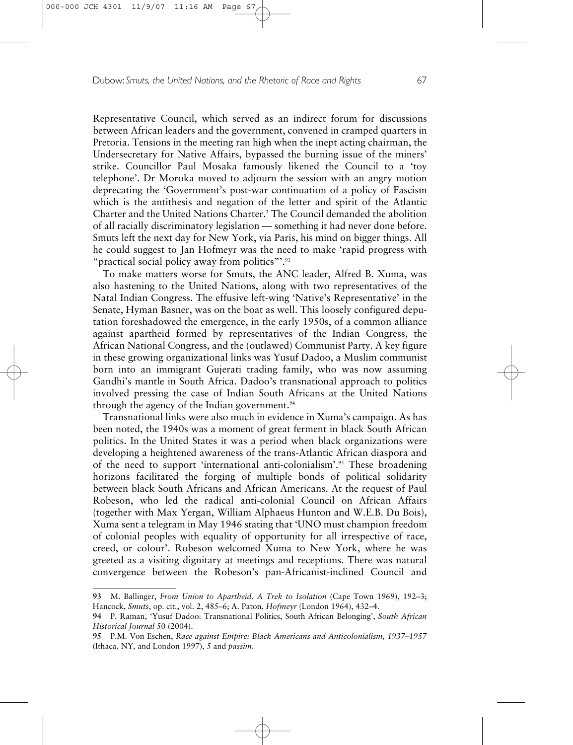Representative Council, which served as an indirect forum for discussions between African leaders and the government, convened in cramped quarters in Pretoria. Tensions in the meeting ran high when the inept acting chairman, the Undersecretary for Native Affairs, bypassed the burning issue of the miners' strike. Councillor Paul Mosaka famously likened the Council to a 'toy telephone'. Dr Moroka moved to adjourn the session with an angry motion deprecating the 'Government's post-war continuation of a policy of Fascism which is the antithesis and negation of the letter and spirit of the Atlantic Charter and the United Nations Charter.' The Council demanded the abolition of all racially discriminatory legislation — something it had never done before. Smuts left the next day for New York, via Paris, his mind on bigger things. All he could suggest to Jan Hofmeyr was the need to make 'rapid progress with "practical social policy away from politics".<sup>93</sup>

To make matters worse for Smuts, the ANC leader, Alfred B. Xuma, was also hastening to the United Nations, along with two representatives of the Natal Indian Congress. The effusive left-wing 'Native's Representative' in the Senate, Hyman Basner, was on the boat as well. This loosely configured deputation foreshadowed the emergence, in the early 1950s, of a common alliance against apartheid formed by representatives of the Indian Congress, the African National Congress, and the (outlawed) Communist Party. A key figure in these growing organizational links was Yusuf Dadoo, a Muslim communist born into an immigrant Gujerati trading family, who was now assuming Gandhi's mantle in South Africa. Dadoo's transnational approach to politics involved pressing the case of Indian South Africans at the United Nations through the agency of the Indian government.<sup>94</sup>

Transnational links were also much in evidence in Xuma's campaign. As has been noted, the 1940s was a moment of great ferment in black South African politics. In the United States it was a period when black organizations were developing a heightened awareness of the trans-Atlantic African diaspora and of the need to support 'international anti-colonialism'.<sup>95</sup> These broadening horizons facilitated the forging of multiple bonds of political solidarity between black South Africans and African Americans. At the request of Paul Robeson, who led the radical anti-colonial Council on African Affairs (together with Max Yergan, William Alphaeus Hunton and W.E.B. Du Bois), Xuma sent a telegram in May 1946 stating that 'UNO must champion freedom of colonial peoples with equality of opportunity for all irrespective of race, creed, or colour'. Robeson welcomed Xuma to New York, where he was greeted as a visiting dignitary at meetings and receptions. There was natural convergence between the Robeson's pan-Africanist-inclined Council and

**<sup>93</sup>** M. Ballinger, *From Union to Apartheid. A Trek to Isolation* (Cape Town 1969), 192–3; Hancock, *Smuts*, op. cit., vol. 2, 485–6; A. Paton, *Hofmeyr* (London 1964), 432–4.

**<sup>94</sup>** P. Raman, 'Yusuf Dadoo: Transnational Politics, South African Belonging', *South African Historical Journal* 50 (2004).

**<sup>95</sup>** P.M. Von Eschen, *Race against Empire: Black Americans and Anticolonialism, 1937–1957* (Ithaca, NY, and London 1997), 5 and *passim*.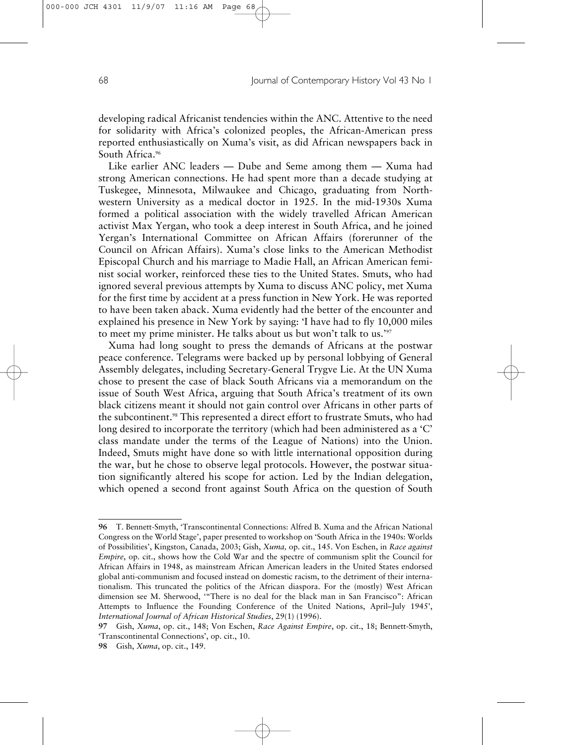developing radical Africanist tendencies within the ANC. Attentive to the need for solidarity with Africa's colonized peoples, the African-American press reported enthusiastically on Xuma's visit, as did African newspapers back in South Africa.<sup>96</sup>

Like earlier ANC leaders — Dube and Seme among them — Xuma had strong American connections. He had spent more than a decade studying at Tuskegee, Minnesota, Milwaukee and Chicago, graduating from Northwestern University as a medical doctor in 1925. In the mid-1930s Xuma formed a political association with the widely travelled African American activist Max Yergan, who took a deep interest in South Africa, and he joined Yergan's International Committee on African Affairs (forerunner of the Council on African Affairs). Xuma's close links to the American Methodist Episcopal Church and his marriage to Madie Hall, an African American feminist social worker, reinforced these ties to the United States. Smuts, who had ignored several previous attempts by Xuma to discuss ANC policy, met Xuma for the first time by accident at a press function in New York. He was reported to have been taken aback. Xuma evidently had the better of the encounter and explained his presence in New York by saying: 'I have had to fly 10,000 miles to meet my prime minister. He talks about us but won't talk to us.'97

Xuma had long sought to press the demands of Africans at the postwar peace conference. Telegrams were backed up by personal lobbying of General Assembly delegates, including Secretary-General Trygve Lie. At the UN Xuma chose to present the case of black South Africans via a memorandum on the issue of South West Africa, arguing that South Africa's treatment of its own black citizens meant it should not gain control over Africans in other parts of the subcontinent.98 This represented a direct effort to frustrate Smuts, who had long desired to incorporate the territory (which had been administered as a 'C' class mandate under the terms of the League of Nations) into the Union. Indeed, Smuts might have done so with little international opposition during the war, but he chose to observe legal protocols. However, the postwar situation significantly altered his scope for action. Led by the Indian delegation, which opened a second front against South Africa on the question of South

**<sup>96</sup>** T. Bennett-Smyth, 'Transcontinental Connections: Alfred B. Xuma and the African National Congress on the World Stage', paper presented to workshop on 'South Africa in the 1940s: Worlds of Possibilities', Kingston, Canada, 2003; Gish, *Xuma,* op. cit., 145. Von Eschen, in *Race against Empire*, op. cit., shows how the Cold War and the spectre of communism split the Council for African Affairs in 1948, as mainstream African American leaders in the United States endorsed global anti-communism and focused instead on domestic racism, to the detriment of their internationalism. This truncated the politics of the African diaspora. For the (mostly) West African dimension see M. Sherwood, '"There is no deal for the black man in San Francisco": African Attempts to Influence the Founding Conference of the United Nations, April–July 1945', *International Journal of African Historical Studies*, 29(1) (1996).

**<sup>97</sup>** Gish, *Xuma*, op. cit., 148; Von Eschen, *Race Against Empire*, op. cit., 18; Bennett-Smyth, 'Transcontinental Connections', op. cit., 10.

**<sup>98</sup>** Gish, *Xuma*, op. cit., 149.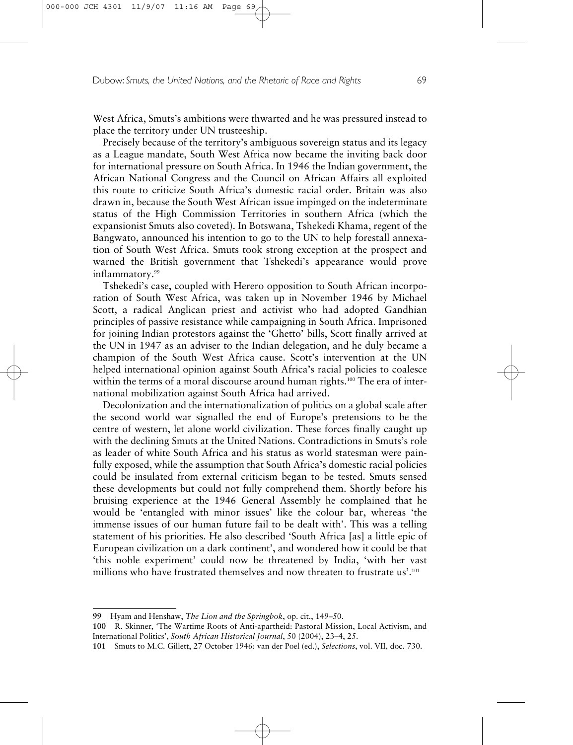West Africa, Smuts's ambitions were thwarted and he was pressured instead to place the territory under UN trusteeship.

Precisely because of the territory's ambiguous sovereign status and its legacy as a League mandate, South West Africa now became the inviting back door for international pressure on South Africa. In 1946 the Indian government, the African National Congress and the Council on African Affairs all exploited this route to criticize South Africa's domestic racial order. Britain was also drawn in, because the South West African issue impinged on the indeterminate status of the High Commission Territories in southern Africa (which the expansionist Smuts also coveted). In Botswana, Tshekedi Khama, regent of the Bangwato, announced his intention to go to the UN to help forestall annexation of South West Africa. Smuts took strong exception at the prospect and warned the British government that Tshekedi's appearance would prove inflammatory.<sup>99</sup>

Tshekedi's case, coupled with Herero opposition to South African incorporation of South West Africa, was taken up in November 1946 by Michael Scott, a radical Anglican priest and activist who had adopted Gandhian principles of passive resistance while campaigning in South Africa. Imprisoned for joining Indian protestors against the 'Ghetto' bills, Scott finally arrived at the UN in 1947 as an adviser to the Indian delegation, and he duly became a champion of the South West Africa cause. Scott's intervention at the UN helped international opinion against South Africa's racial policies to coalesce within the terms of a moral discourse around human rights.<sup>100</sup> The era of international mobilization against South Africa had arrived.

Decolonization and the internationalization of politics on a global scale after the second world war signalled the end of Europe's pretensions to be the centre of western, let alone world civilization. These forces finally caught up with the declining Smuts at the United Nations. Contradictions in Smuts's role as leader of white South Africa and his status as world statesman were painfully exposed, while the assumption that South Africa's domestic racial policies could be insulated from external criticism began to be tested. Smuts sensed these developments but could not fully comprehend them. Shortly before his bruising experience at the 1946 General Assembly he complained that he would be 'entangled with minor issues' like the colour bar, whereas 'the immense issues of our human future fail to be dealt with'. This was a telling statement of his priorities. He also described 'South Africa [as] a little epic of European civilization on a dark continent', and wondered how it could be that 'this noble experiment' could now be threatened by India, 'with her vast millions who have frustrated themselves and now threaten to frustrate us'.101

**<sup>99</sup>** Hyam and Henshaw, *The Lion and the Springbok*, op. cit., 149–50.

**<sup>100</sup>** R. Skinner, 'The Wartime Roots of Anti-apartheid: Pastoral Mission, Local Activism, and International Politics', *South African Historical Journal*, 50 (2004), 23–4, 25.

**<sup>101</sup>** Smuts to M.C. Gillett, 27 October 1946: van der Poel (ed.), *Selections*, vol. VII, doc. 730.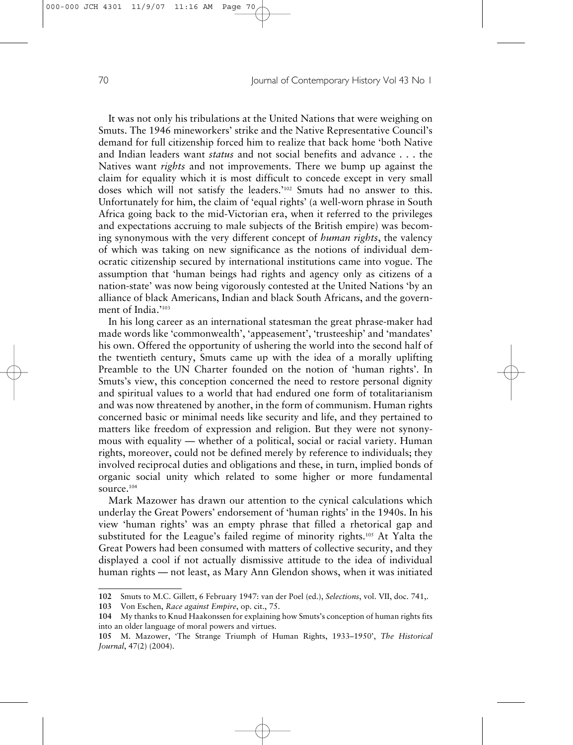It was not only his tribulations at the United Nations that were weighing on Smuts. The 1946 mineworkers' strike and the Native Representative Council's demand for full citizenship forced him to realize that back home 'both Native and Indian leaders want *status* and not social benefits and advance . . . the Natives want *rights* and not improvements. There we bump up against the claim for equality which it is most difficult to concede except in very small doses which will not satisfy the leaders.'<sup>102</sup> Smuts had no answer to this. Unfortunately for him, the claim of 'equal rights' (a well-worn phrase in South Africa going back to the mid-Victorian era, when it referred to the privileges and expectations accruing to male subjects of the British empire) was becoming synonymous with the very different concept of *human rights*, the valency of which was taking on new significance as the notions of individual democratic citizenship secured by international institutions came into vogue. The assumption that 'human beings had rights and agency only as citizens of a nation-state' was now being vigorously contested at the United Nations 'by an alliance of black Americans, Indian and black South Africans, and the government of India.'103

In his long career as an international statesman the great phrase-maker had made words like 'commonwealth', 'appeasement', 'trusteeship' and 'mandates' his own. Offered the opportunity of ushering the world into the second half of the twentieth century, Smuts came up with the idea of a morally uplifting Preamble to the UN Charter founded on the notion of 'human rights'. In Smuts's view, this conception concerned the need to restore personal dignity and spiritual values to a world that had endured one form of totalitarianism and was now threatened by another, in the form of communism. Human rights concerned basic or minimal needs like security and life, and they pertained to matters like freedom of expression and religion. But they were not synonymous with equality — whether of a political, social or racial variety. Human rights, moreover, could not be defined merely by reference to individuals; they involved reciprocal duties and obligations and these, in turn, implied bonds of organic social unity which related to some higher or more fundamental source.<sup>104</sup>

Mark Mazower has drawn our attention to the cynical calculations which underlay the Great Powers' endorsement of 'human rights' in the 1940s. In his view 'human rights' was an empty phrase that filled a rhetorical gap and substituted for the League's failed regime of minority rights.<sup>105</sup> At Yalta the Great Powers had been consumed with matters of collective security, and they displayed a cool if not actually dismissive attitude to the idea of individual human rights — not least, as Mary Ann Glendon shows, when it was initiated

**<sup>102</sup>** Smuts to M.C. Gillett, 6 February 1947: van der Poel (ed.), *Selections*, vol. VII, doc. 741,.

**<sup>103</sup>** Von Eschen, *Race against Empire*, op. cit., 75.

**<sup>104</sup>** My thanks to Knud Haakonssen for explaining how Smuts's conception of human rights fits into an older language of moral powers and virtues.

**<sup>105</sup>** M. Mazower, 'The Strange Triumph of Human Rights, 1933–1950', *The Historical Journal*, 47(2) (2004).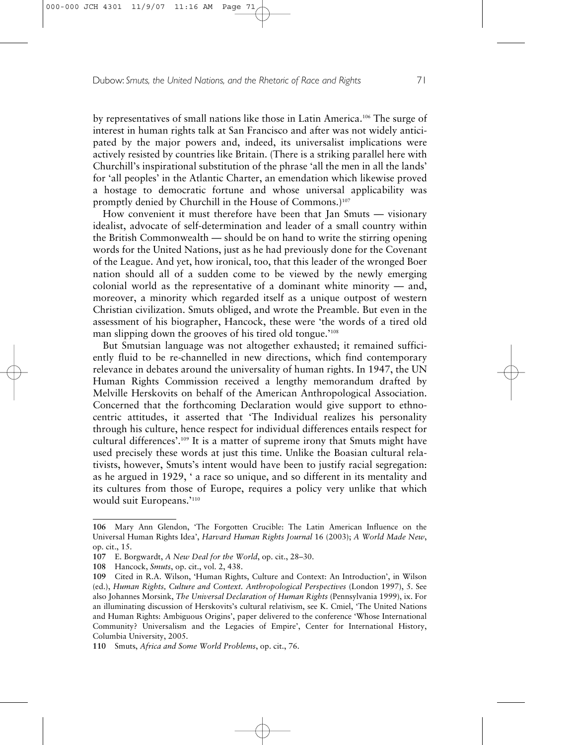by representatives of small nations like those in Latin America.106 The surge of interest in human rights talk at San Francisco and after was not widely anticipated by the major powers and, indeed, its universalist implications were actively resisted by countries like Britain. (There is a striking parallel here with Churchill's inspirational substitution of the phrase 'all the men in all the lands' for 'all peoples' in the Atlantic Charter, an emendation which likewise proved a hostage to democratic fortune and whose universal applicability was promptly denied by Churchill in the House of Commons.)<sup>107</sup>

How convenient it must therefore have been that Jan Smuts — visionary idealist, advocate of self-determination and leader of a small country within the British Commonwealth — should be on hand to write the stirring opening words for the United Nations, just as he had previously done for the Covenant of the League. And yet, how ironical, too, that this leader of the wronged Boer nation should all of a sudden come to be viewed by the newly emerging colonial world as the representative of a dominant white minority — and, moreover, a minority which regarded itself as a unique outpost of western Christian civilization. Smuts obliged, and wrote the Preamble. But even in the assessment of his biographer, Hancock, these were 'the words of a tired old man slipping down the grooves of his tired old tongue.<sup>'108</sup>

But Smutsian language was not altogether exhausted; it remained sufficiently fluid to be re-channelled in new directions, which find contemporary relevance in debates around the universality of human rights. In 1947, the UN Human Rights Commission received a lengthy memorandum drafted by Melville Herskovits on behalf of the American Anthropological Association. Concerned that the forthcoming Declaration would give support to ethnocentric attitudes, it asserted that 'The Individual realizes his personality through his culture, hence respect for individual differences entails respect for cultural differences'.109 It is a matter of supreme irony that Smuts might have used precisely these words at just this time. Unlike the Boasian cultural relativists, however, Smuts's intent would have been to justify racial segregation: as he argued in 1929, ' a race so unique, and so different in its mentality and its cultures from those of Europe, requires a policy very unlike that which would suit Europeans.'110

**<sup>106</sup>** Mary Ann Glendon, 'The Forgotten Crucible: The Latin American Influence on the Universal Human Rights Idea', *Harvard Human Rights Journal* 16 (2003); *A World Made New*, op. cit., 15.

**<sup>107</sup>** E. Borgwardt, *A New Deal for the World*, op. cit., 28–30.

**<sup>108</sup>** Hancock, *Smuts*, op. cit., vol. 2, 438.

**<sup>109</sup>** Cited in R.A. Wilson, 'Human Rights, Culture and Context: An Introduction', in Wilson (ed.), *Human Rights, Culture and Context. Anthropological Perspectives* (London 1997), 5. See also Johannes Morsink, *The Universal Declaration of Human Rights* (Pennsylvania 1999), ix. For an illuminating discussion of Herskovits's cultural relativism, see K. Cmiel, 'The United Nations and Human Rights: Ambiguous Origins', paper delivered to the conference 'Whose International Community? Universalism and the Legacies of Empire', Center for International History, Columbia University, 2005.

**<sup>110</sup>** Smuts, *Africa and Some World Problems*, op. cit., 76.